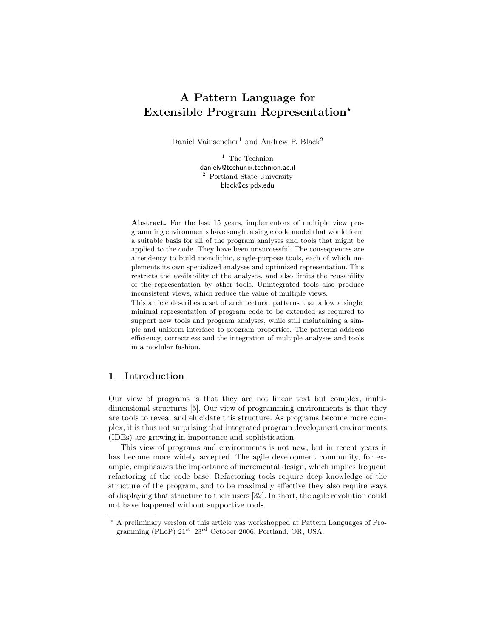# A Pattern Language for Extensible Program Representation\*

Daniel Vainsencher<sup>1</sup> and Andrew P. Black<sup>2</sup>

 $^{\rm 1}\,$  The Technion danielv@techunix.technion.ac.il <sup>2</sup> Portland State University black@cs.pdx.edu

Abstract. For the last 15 years, implementors of multiple view programming environments have sought a single code model that would form a suitable basis for all of the program analyses and tools that might be applied to the code. They have been unsuccessful. The consequences are a tendency to build monolithic, single-purpose tools, each of which implements its own specialized analyses and optimized representation. This restricts the availability of the analyses, and also limits the reusability of the representation by other tools. Unintegrated tools also produce inconsistent views, which reduce the value of multiple views. This article describes a set of architectural patterns that allow a single,

minimal representation of program code to be extended as required to support new tools and program analyses, while still maintaining a simple and uniform interface to program properties. The patterns address efficiency, correctness and the integration of multiple analyses and tools in a modular fashion.

## 1 Introduction

Our view of programs is that they are not linear text but complex, multidimensional structures [5]. Our view of programming environments is that they are tools to reveal and elucidate this structure. As programs become more complex, it is thus not surprising that integrated program development environments (IDEs) are growing in importance and sophistication.

This view of programs and environments is not new, but in recent years it has become more widely accepted. The agile development community, for example, emphasizes the importance of incremental design, which implies frequent refactoring of the code base. Refactoring tools require deep knowledge of the structure of the program, and to be maximally effective they also require ways of displaying that structure to their users [32]. In short, the agile revolution could not have happened without supportive tools.

<sup>?</sup> A preliminary version of this article was workshopped at Pattern Languages of Programming (PLoP) 21st–23rd October 2006, Portland, OR, USA.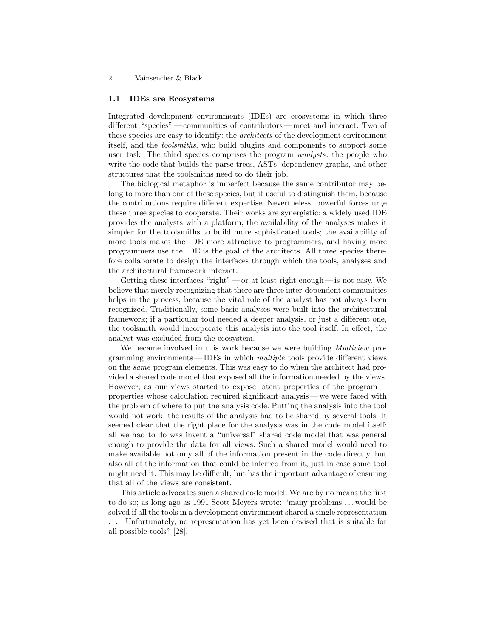#### 1.1 IDEs are Ecosystems

Integrated development environments (IDEs) are ecosystems in which three different "species"— communities of contributors— meet and interact. Two of these species are easy to identify: the *architects* of the development environment itself, and the toolsmiths, who build plugins and components to support some user task. The third species comprises the program *analysts*: the people who write the code that builds the parse trees, ASTs, dependency graphs, and other structures that the toolsmiths need to do their job.

The biological metaphor is imperfect because the same contributor may belong to more than one of these species, but it useful to distinguish them, because the contributions require different expertise. Nevertheless, powerful forces urge these three species to cooperate. Their works are synergistic: a widely used IDE provides the analysts with a platform; the availability of the analyses makes it simpler for the toolsmiths to build more sophisticated tools; the availability of more tools makes the IDE more attractive to programmers, and having more programmers use the IDE is the goal of the architects. All three species therefore collaborate to design the interfaces through which the tools, analyses and the architectural framework interact.

Getting these interfaces "right" — or at least right enough — is not easy. We believe that merely recognizing that there are three inter-dependent communities helps in the process, because the vital role of the analyst has not always been recognized. Traditionally, some basic analyses were built into the architectural framework; if a particular tool needed a deeper analysis, or just a different one, the toolsmith would incorporate this analysis into the tool itself. In effect, the analyst was excluded from the ecosystem.

We became involved in this work because we were building *Multiview* programming environments — IDEs in which multiple tools provide different views on the same program elements. This was easy to do when the architect had provided a shared code model that exposed all the information needed by the views. However, as our views started to expose latent properties of the program properties whose calculation required significant analysis — we were faced with the problem of where to put the analysis code. Putting the analysis into the tool would not work: the results of the analysis had to be shared by several tools. It seemed clear that the right place for the analysis was in the code model itself: all we had to do was invent a "universal" shared code model that was general enough to provide the data for all views. Such a shared model would need to make available not only all of the information present in the code directly, but also all of the information that could be inferred from it, just in case some tool might need it. This may be difficult, but has the important advantage of ensuring that all of the views are consistent.

This article advocates such a shared code model. We are by no means the first to do so; as long ago as 1991 Scott Meyers wrote: "many problems . . . would be solved if all the tools in a development environment shared a single representation ... Unfortunately, no representation has yet been devised that is suitable for all possible tools" [28].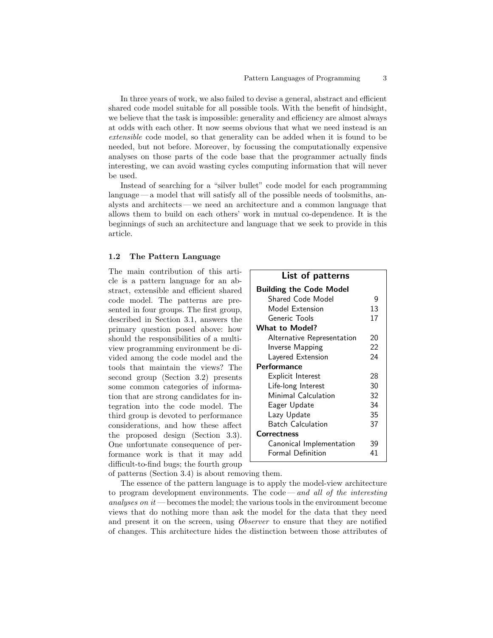In three years of work, we also failed to devise a general, abstract and efficient shared code model suitable for all possible tools. With the benefit of hindsight, we believe that the task is impossible: generality and efficiency are almost always at odds with each other. It now seems obvious that what we need instead is an extensible code model, so that generality can be added when it is found to be needed, but not before. Moreover, by focussing the computationally expensive analyses on those parts of the code base that the programmer actually finds interesting, we can avoid wasting cycles computing information that will never be used.

Instead of searching for a "silver bullet" code model for each programming language — a model that will satisfy all of the possible needs of toolsmiths, analysts and architects— we need an architecture and a common language that allows them to build on each others' work in mutual co-dependence. It is the beginnings of such an architecture and language that we seek to provide in this article.

### 1.2 The Pattern Language

The main contribution of this article is a pattern language for an abstract, extensible and efficient shared code model. The patterns are presented in four groups. The first group, described in Section 3.1, answers the primary question posed above: how should the responsibilities of a multiview programming environment be divided among the code model and the tools that maintain the views? The second group (Section 3.2) presents some common categories of information that are strong candidates for integration into the code model. The third group is devoted to performance considerations, and how these affect the proposed design (Section 3.3). One unfortunate consequence of performance work is that it may add difficult-to-find bugs; the fourth group

| List of patterns               |    |
|--------------------------------|----|
| <b>Building the Code Model</b> |    |
| Shared Code Model              | 9  |
| Model Extension                | 13 |
| Generic Tools                  | 17 |
| What to Model?                 |    |
| Alternative Representation     | 20 |
| Inverse Mapping                | 22 |
| Layered Extension              | 24 |
| Performance                    |    |
| <b>Explicit Interest</b>       | 28 |
| Life-long Interest             | 30 |
| Minimal Calculation            | 32 |
| Eager Update                   | 34 |
| Lazy Update                    | 35 |
| <b>Batch Calculation</b>       | 37 |
| Correctness                    |    |
| Canonical Implementation       | 39 |
| <b>Formal Definition</b>       | 41 |
|                                |    |

of patterns (Section 3.4) is about removing them.

The essence of the pattern language is to apply the model-view architecture to program development environments. The code — and all of the interesting analyses on it — becomes the model; the various tools in the environment become views that do nothing more than ask the model for the data that they need and present it on the screen, using Observer to ensure that they are notified of changes. This architecture hides the distinction between those attributes of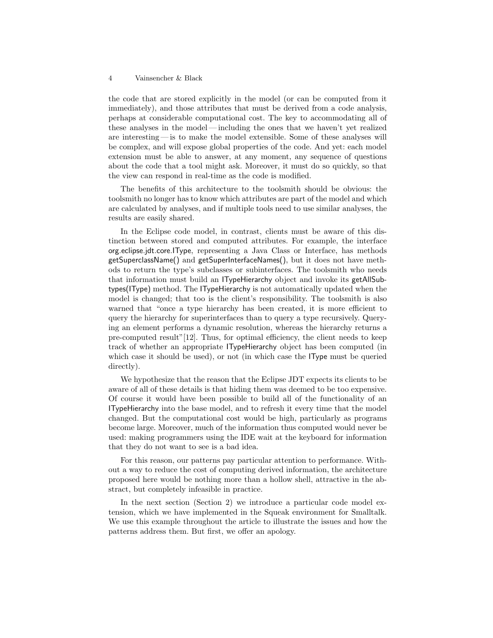the code that are stored explicitly in the model (or can be computed from it immediately), and those attributes that must be derived from a code analysis, perhaps at considerable computational cost. The key to accommodating all of these analyses in the model — including the ones that we haven't yet realized are interesting — is to make the model extensible. Some of these analyses will be complex, and will expose global properties of the code. And yet: each model extension must be able to answer, at any moment, any sequence of questions about the code that a tool might ask. Moreover, it must do so quickly, so that the view can respond in real-time as the code is modified.

The benefits of this architecture to the toolsmith should be obvious: the toolsmith no longer has to know which attributes are part of the model and which are calculated by analyses, and if multiple tools need to use similar analyses, the results are easily shared.

In the Eclipse code model, in contrast, clients must be aware of this distinction between stored and computed attributes. For example, the interface org.eclipse.jdt.core.IType, representing a Java Class or Interface, has methods getSuperclassName() and getSuperInterfaceNames(), but it does not have methods to return the type's subclasses or subinterfaces. The toolsmith who needs that information must build an ITypeHierarchy object and invoke its getAllSubtypes(IType) method. The ITypeHierarchy is not automatically updated when the model is changed; that too is the client's responsibility. The toolsmith is also warned that "once a type hierarchy has been created, it is more efficient to query the hierarchy for superinterfaces than to query a type recursively. Querying an element performs a dynamic resolution, whereas the hierarchy returns a pre-computed result"[12]. Thus, for optimal efficiency, the client needs to keep track of whether an appropriate ITypeHierarchy object has been computed (in which case it should be used), or not (in which case the IType must be queried directly).

We hypothesize that the reason that the Eclipse JDT expects its clients to be aware of all of these details is that hiding them was deemed to be too expensive. Of course it would have been possible to build all of the functionality of an ITypeHierarchy into the base model, and to refresh it every time that the model changed. But the computational cost would be high, particularly as programs become large. Moreover, much of the information thus computed would never be used: making programmers using the IDE wait at the keyboard for information that they do not want to see is a bad idea.

For this reason, our patterns pay particular attention to performance. Without a way to reduce the cost of computing derived information, the architecture proposed here would be nothing more than a hollow shell, attractive in the abstract, but completely infeasible in practice.

In the next section (Section 2) we introduce a particular code model extension, which we have implemented in the Squeak environment for Smalltalk. We use this example throughout the article to illustrate the issues and how the patterns address them. But first, we offer an apology.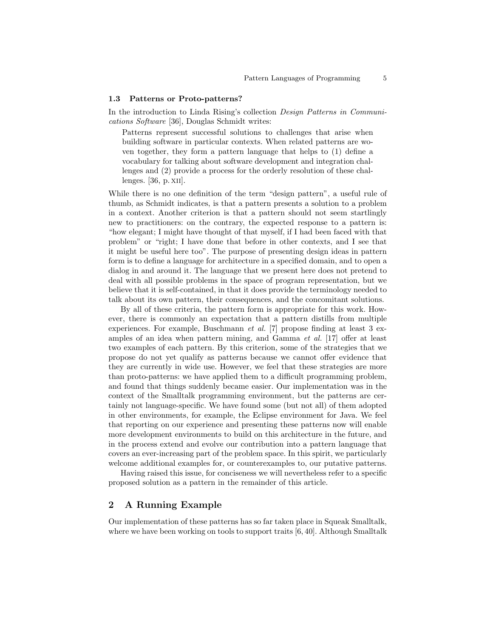#### 1.3 Patterns or Proto-patterns?

In the introduction to Linda Rising's collection Design Patterns in Communications Software [36], Douglas Schmidt writes:

Patterns represent successful solutions to challenges that arise when building software in particular contexts. When related patterns are woven together, they form a pattern language that helps to (1) define a vocabulary for talking about software development and integration challenges and (2) provide a process for the orderly resolution of these challenges. [36, p. xii].

While there is no one definition of the term "design pattern", a useful rule of thumb, as Schmidt indicates, is that a pattern presents a solution to a problem in a context. Another criterion is that a pattern should not seem startlingly new to practitioners: on the contrary, the expected response to a pattern is: "how elegant; I might have thought of that myself, if I had been faced with that problem" or "right; I have done that before in other contexts, and I see that it might be useful here too". The purpose of presenting design ideas in pattern form is to define a language for architecture in a specified domain, and to open a dialog in and around it. The language that we present here does not pretend to deal with all possible problems in the space of program representation, but we believe that it is self-contained, in that it does provide the terminology needed to talk about its own pattern, their consequences, and the concomitant solutions.

By all of these criteria, the pattern form is appropriate for this work. However, there is commonly an expectation that a pattern distills from multiple experiences. For example, Buschmann et al. [7] propose finding at least 3 examples of an idea when pattern mining, and Gamma et al. [17] offer at least two examples of each pattern. By this criterion, some of the strategies that we propose do not yet qualify as patterns because we cannot offer evidence that they are currently in wide use. However, we feel that these strategies are more than proto-patterns: we have applied them to a difficult programming problem, and found that things suddenly became easier. Our implementation was in the context of the Smalltalk programming environment, but the patterns are certainly not language-specific. We have found some (but not all) of them adopted in other environments, for example, the Eclipse environment for Java. We feel that reporting on our experience and presenting these patterns now will enable more development environments to build on this architecture in the future, and in the process extend and evolve our contribution into a pattern language that covers an ever-increasing part of the problem space. In this spirit, we particularly welcome additional examples for, or counterexamples to, our putative patterns.

Having raised this issue, for conciseness we will nevertheless refer to a specific proposed solution as a pattern in the remainder of this article.

## 2 A Running Example

Our implementation of these patterns has so far taken place in Squeak Smalltalk, where we have been working on tools to support traits [6, 40]. Although Smalltalk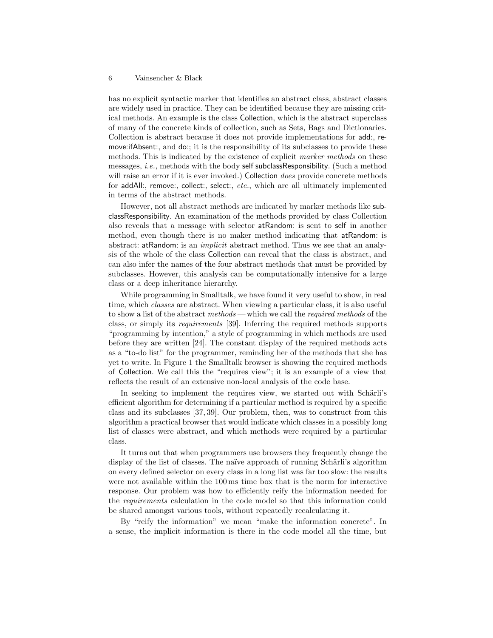has no explicit syntactic marker that identifies an abstract class, abstract classes are widely used in practice. They can be identified because they are missing critical methods. An example is the class Collection, which is the abstract superclass of many of the concrete kinds of collection, such as Sets, Bags and Dictionaries. Collection is abstract because it does not provide implementations for add:, remove:ifAbsent:, and do:; it is the responsibility of its subclasses to provide these methods. This is indicated by the existence of explicit marker methods on these messages, i.e., methods with the body self subclassResponsibility. (Such a method will raise an error if it is ever invoked.) Collection *does* provide concrete methods for addAll:, remove:, collect:, select:, etc., which are all ultimately implemented in terms of the abstract methods.

However, not all abstract methods are indicated by marker methods like subclassResponsibility. An examination of the methods provided by class Collection also reveals that a message with selector atRandom: is sent to self in another method, even though there is no maker method indicating that atRandom: is abstract: atRandom: is an *implicit* abstract method. Thus we see that an analysis of the whole of the class Collection can reveal that the class is abstract, and can also infer the names of the four abstract methods that must be provided by subclasses. However, this analysis can be computationally intensive for a large class or a deep inheritance hierarchy.

While programming in Smalltalk, we have found it very useful to show, in real time, which classes are abstract. When viewing a particular class, it is also useful to show a list of the abstract methods — which we call the required methods of the class, or simply its requirements [39]. Inferring the required methods supports "programming by intention," a style of programming in which methods are used before they are written [24]. The constant display of the required methods acts as a "to-do list" for the programmer, reminding her of the methods that she has yet to write. In Figure 1 the Smalltalk browser is showing the required methods of Collection. We call this the "requires view"; it is an example of a view that reflects the result of an extensive non-local analysis of the code base.

In seeking to implement the requires view, we started out with Schärli's efficient algorithm for determining if a particular method is required by a specific class and its subclasses [37, 39]. Our problem, then, was to construct from this algorithm a practical browser that would indicate which classes in a possibly long list of classes were abstract, and which methods were required by a particular class.

It turns out that when programmers use browsers they frequently change the display of the list of classes. The naïve approach of running Schärli's algorithm on every defined selector on every class in a long list was far too slow: the results were not available within the 100 ms time box that is the norm for interactive response. Our problem was how to efficiently reify the information needed for the requirements calculation in the code model so that this information could be shared amongst various tools, without repeatedly recalculating it.

By "reify the information" we mean "make the information concrete". In a sense, the implicit information is there in the code model all the time, but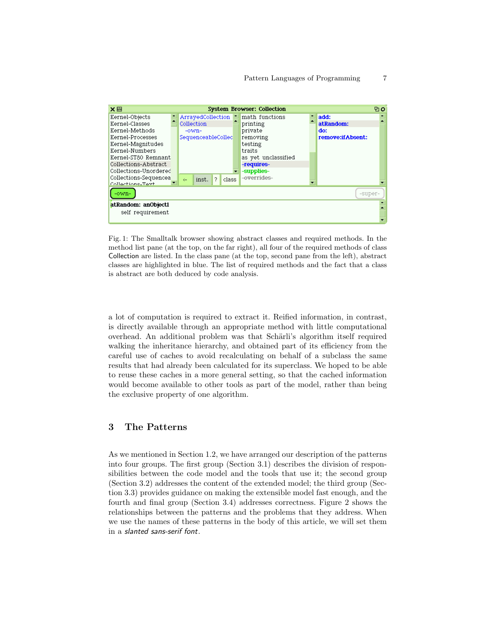

Fig. 1: The Smalltalk browser showing abstract classes and required methods. In the method list pane (at the top, on the far right), all four of the required methods of class Collection are listed. In the class pane (at the top, second pane from the left), abstract classes are highlighted in blue. The list of required methods and the fact that a class is abstract are both deduced by code analysis.

a lot of computation is required to extract it. Reified information, in contrast, is directly available through an appropriate method with little computational overhead. An additional problem was that Schärli's algorithm itself required walking the inheritance hierarchy, and obtained part of its efficiency from the careful use of caches to avoid recalculating on behalf of a subclass the same results that had already been calculated for its superclass. We hoped to be able to reuse these caches in a more general setting, so that the cached information would become available to other tools as part of the model, rather than being the exclusive property of one algorithm.

## 3 The Patterns

As we mentioned in Section 1.2, we have arranged our description of the patterns into four groups. The first group (Section 3.1) describes the division of responsibilities between the code model and the tools that use it; the second group (Section 3.2) addresses the content of the extended model; the third group (Section 3.3) provides guidance on making the extensible model fast enough, and the fourth and final group (Section 3.4) addresses correctness. Figure 2 shows the relationships between the patterns and the problems that they address. When we use the names of these patterns in the body of this article, we will set them in a slanted sans-serif font.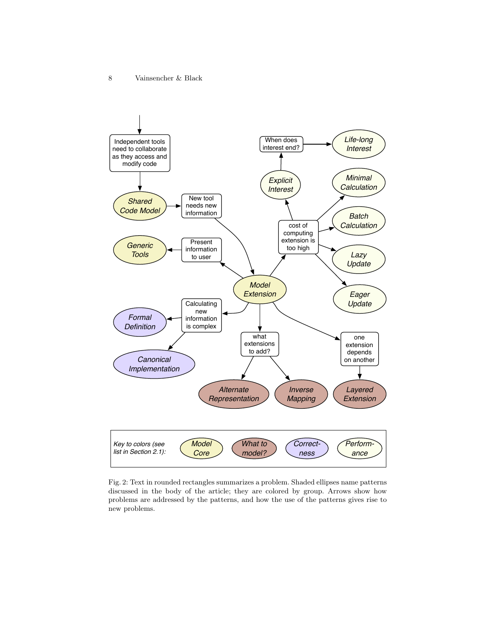

Fig. 2: Text in rounded rectangles summarizes a problem. Shaded ellipses name patterns discussed in the body of the article; they are colored by group. Arrows show how problems are addressed by the patterns, and how the use of the patterns gives rise to new problems.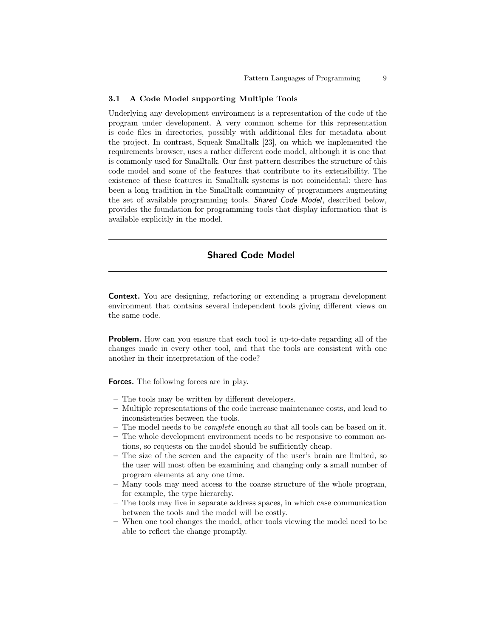### 3.1 A Code Model supporting Multiple Tools

Underlying any development environment is a representation of the code of the program under development. A very common scheme for this representation is code files in directories, possibly with additional files for metadata about the project. In contrast, Squeak Smalltalk [23], on which we implemented the requirements browser, uses a rather different code model, although it is one that is commonly used for Smalltalk. Our first pattern describes the structure of this code model and some of the features that contribute to its extensibility. The existence of these features in Smalltalk systems is not coincidental: there has been a long tradition in the Smalltalk community of programmers augmenting the set of available programming tools. Shared Code Model, described below, provides the foundation for programming tools that display information that is available explicitly in the model.

## Shared Code Model

Context. You are designing, refactoring or extending a program development environment that contains several independent tools giving different views on the same code.

Problem. How can you ensure that each tool is up-to-date regarding all of the changes made in every other tool, and that the tools are consistent with one another in their interpretation of the code?

Forces. The following forces are in play.

- The tools may be written by different developers.
- Multiple representations of the code increase maintenance costs, and lead to inconsistencies between the tools.
- $-$  The model needs to be *complete* enough so that all tools can be based on it.
- The whole development environment needs to be responsive to common actions, so requests on the model should be sufficiently cheap.
- The size of the screen and the capacity of the user's brain are limited, so the user will most often be examining and changing only a small number of program elements at any one time.
- Many tools may need access to the coarse structure of the whole program, for example, the type hierarchy.
- The tools may live in separate address spaces, in which case communication between the tools and the model will be costly.
- When one tool changes the model, other tools viewing the model need to be able to reflect the change promptly.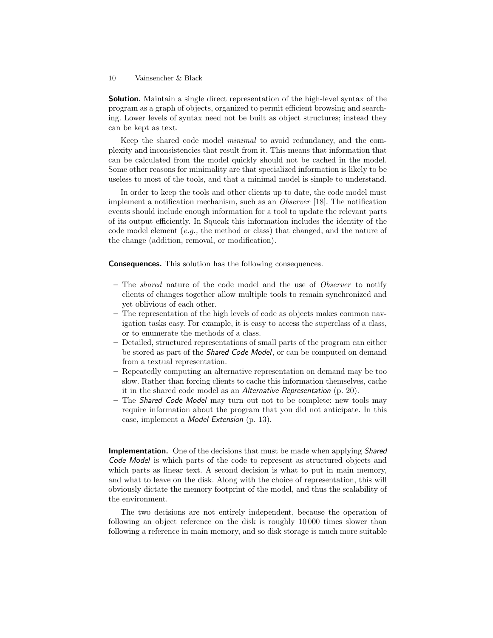**Solution.** Maintain a single direct representation of the high-level syntax of the program as a graph of objects, organized to permit efficient browsing and searching. Lower levels of syntax need not be built as object structures; instead they can be kept as text.

Keep the shared code model minimal to avoid redundancy, and the complexity and inconsistencies that result from it. This means that information that can be calculated from the model quickly should not be cached in the model. Some other reasons for minimality are that specialized information is likely to be useless to most of the tools, and that a minimal model is simple to understand.

In order to keep the tools and other clients up to date, the code model must implement a notification mechanism, such as an Observer [18]. The notification events should include enough information for a tool to update the relevant parts of its output efficiently. In Squeak this information includes the identity of the code model element (e.g., the method or class) that changed, and the nature of the change (addition, removal, or modification).

**Consequences.** This solution has the following consequences.

- $-$  The *shared* nature of the code model and the use of *Observer* to notify clients of changes together allow multiple tools to remain synchronized and yet oblivious of each other.
- The representation of the high levels of code as objects makes common navigation tasks easy. For example, it is easy to access the superclass of a class, or to enumerate the methods of a class.
- Detailed, structured representations of small parts of the program can either be stored as part of the Shared Code Model, or can be computed on demand from a textual representation.
- Repeatedly computing an alternative representation on demand may be too slow. Rather than forcing clients to cache this information themselves, cache it in the shared code model as an Alternative Representation (p. 20).
- The Shared Code Model may turn out not to be complete: new tools may require information about the program that you did not anticipate. In this case, implement a Model Extension (p. 13).

Implementation. One of the decisions that must be made when applying Shared Code Model is which parts of the code to represent as structured objects and which parts as linear text. A second decision is what to put in main memory, and what to leave on the disk. Along with the choice of representation, this will obviously dictate the memory footprint of the model, and thus the scalability of the environment.

The two decisions are not entirely independent, because the operation of following an object reference on the disk is roughly 10 000 times slower than following a reference in main memory, and so disk storage is much more suitable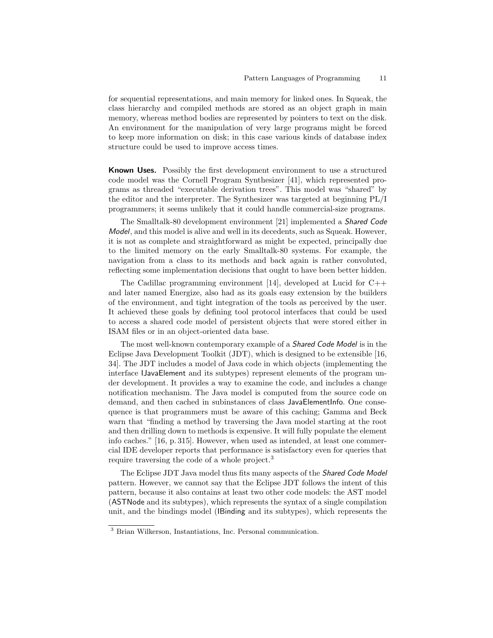for sequential representations, and main memory for linked ones. In Squeak, the class hierarchy and compiled methods are stored as an object graph in main memory, whereas method bodies are represented by pointers to text on the disk. An environment for the manipulation of very large programs might be forced to keep more information on disk; in this case various kinds of database index structure could be used to improve access times.

Known Uses. Possibly the first development environment to use a structured code model was the Cornell Program Synthesizer [41], which represented programs as threaded "executable derivation trees". This model was "shared" by the editor and the interpreter. The Synthesizer was targeted at beginning PL/I programmers; it seems unlikely that it could handle commercial-size programs.

The Smalltalk-80 development environment [21] implemented a Shared Code Model, and this model is alive and well in its decedents, such as Squeak. However, it is not as complete and straightforward as might be expected, principally due to the limited memory on the early Smalltalk-80 systems. For example, the navigation from a class to its methods and back again is rather convoluted, reflecting some implementation decisions that ought to have been better hidden.

The Cadillac programming environment [14], developed at Lucid for C++ and later named Energize, also had as its goals easy extension by the builders of the environment, and tight integration of the tools as perceived by the user. It achieved these goals by defining tool protocol interfaces that could be used to access a shared code model of persistent objects that were stored either in ISAM files or in an object-oriented data base.

The most well-known contemporary example of a Shared Code Model is in the Eclipse Java Development Toolkit (JDT), which is designed to be extensible [16, 34]. The JDT includes a model of Java code in which objects (implementing the interface IJavaElement and its subtypes) represent elements of the program under development. It provides a way to examine the code, and includes a change notification mechanism. The Java model is computed from the source code on demand, and then cached in subinstances of class JavaElementInfo. One consequence is that programmers must be aware of this caching; Gamma and Beck warn that "finding a method by traversing the Java model starting at the root and then drilling down to methods is expensive. It will fully populate the element info caches." [16, p. 315]. However, when used as intended, at least one commercial IDE developer reports that performance is satisfactory even for queries that require traversing the code of a whole project.<sup>3</sup>

The Eclipse JDT Java model thus fits many aspects of the Shared Code Model pattern. However, we cannot say that the Eclipse JDT follows the intent of this pattern, because it also contains at least two other code models: the AST model (ASTNode and its subtypes), which represents the syntax of a single compilation unit, and the bindings model (IBinding and its subtypes), which represents the

<sup>3</sup> Brian Wilkerson, Instantiations, Inc. Personal communication.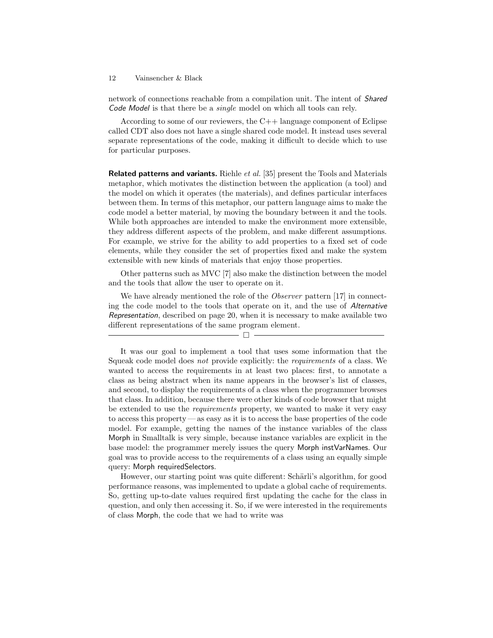network of connections reachable from a compilation unit. The intent of Shared Code Model is that there be a *single* model on which all tools can rely.

According to some of our reviewers, the  $C++$  language component of Eclipse called CDT also does not have a single shared code model. It instead uses several separate representations of the code, making it difficult to decide which to use for particular purposes.

Related patterns and variants. Riehle *et al.* [35] present the Tools and Materials metaphor, which motivates the distinction between the application (a tool) and the model on which it operates (the materials), and defines particular interfaces between them. In terms of this metaphor, our pattern language aims to make the code model a better material, by moving the boundary between it and the tools. While both approaches are intended to make the environment more extensible, they address different aspects of the problem, and make different assumptions. For example, we strive for the ability to add properties to a fixed set of code elements, while they consider the set of properties fixed and make the system extensible with new kinds of materials that enjoy those properties.

Other patterns such as MVC [7] also make the distinction between the model and the tools that allow the user to operate on it.

We have already mentioned the role of the *Observer* pattern [17] in connecting the code model to the tools that operate on it, and the use of Alternative Representation, described on page 20, when it is necessary to make available two different representations of the same program element.

 $-\Box$ 

It was our goal to implement a tool that uses some information that the Squeak code model does not provide explicitly: the requirements of a class. We wanted to access the requirements in at least two places: first, to annotate a class as being abstract when its name appears in the browser's list of classes, and second, to display the requirements of a class when the programmer browses that class. In addition, because there were other kinds of code browser that might be extended to use the requirements property, we wanted to make it very easy to access this property— as easy as it is to access the base properties of the code model. For example, getting the names of the instance variables of the class Morph in Smalltalk is very simple, because instance variables are explicit in the base model: the programmer merely issues the query Morph instVarNames. Our goal was to provide access to the requirements of a class using an equally simple query: Morph requiredSelectors.

However, our starting point was quite different: Schärli's algorithm, for good performance reasons, was implemented to update a global cache of requirements. So, getting up-to-date values required first updating the cache for the class in question, and only then accessing it. So, if we were interested in the requirements of class Morph, the code that we had to write was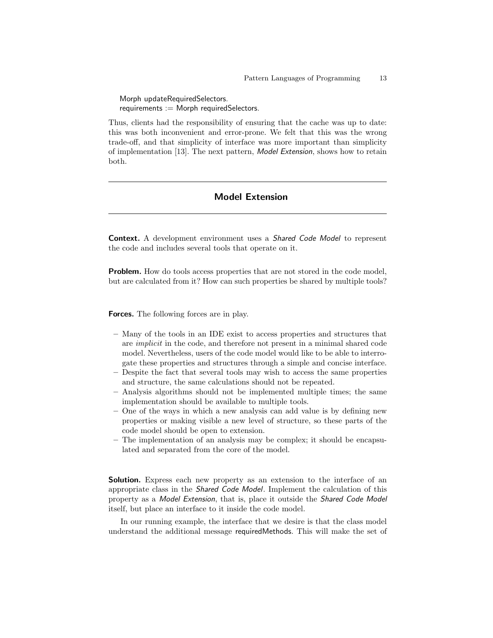Morph updateRequiredSelectors.  $requirements := Morph requiredSelectors.$ 

Thus, clients had the responsibility of ensuring that the cache was up to date: this was both inconvenient and error-prone. We felt that this was the wrong trade-off, and that simplicity of interface was more important than simplicity of implementation [13]. The next pattern, Model Extension, shows how to retain both.

## Model Extension

Context. A development environment uses a Shared Code Model to represent the code and includes several tools that operate on it.

Problem. How do tools access properties that are not stored in the code model, but are calculated from it? How can such properties be shared by multiple tools?

Forces. The following forces are in play.

- Many of the tools in an IDE exist to access properties and structures that are implicit in the code, and therefore not present in a minimal shared code model. Nevertheless, users of the code model would like to be able to interrogate these properties and structures through a simple and concise interface.
- Despite the fact that several tools may wish to access the same properties and structure, the same calculations should not be repeated.
- Analysis algorithms should not be implemented multiple times; the same implementation should be available to multiple tools.
- One of the ways in which a new analysis can add value is by defining new properties or making visible a new level of structure, so these parts of the code model should be open to extension.
- The implementation of an analysis may be complex; it should be encapsulated and separated from the core of the model.

**Solution.** Express each new property as an extension to the interface of an appropriate class in the Shared Code Model. Implement the calculation of this property as a Model Extension, that is, place it outside the Shared Code Model itself, but place an interface to it inside the code model.

In our running example, the interface that we desire is that the class model understand the additional message requiredMethods. This will make the set of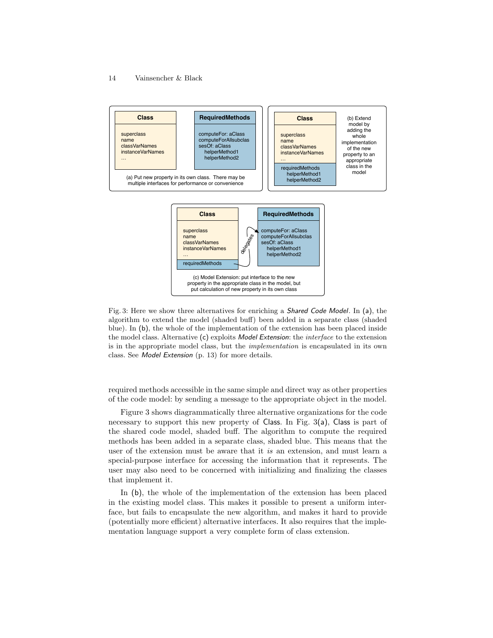

Fig. 3: Here we show three alternatives for enriching a Shared Code Model. In (a), the algorithm to extend the model (shaded buff) been added in a separate class (shaded blue). In (b), the whole of the implementation of the extension has been placed inside the model class. Alternative (c) exploits Model Extension: the interface to the extension is in the appropriate model class, but the implementation is encapsulated in its own class. See Model Extension (p. 13) for more details.

required methods accessible in the same simple and direct way as other properties of the code model: by sending a message to the appropriate object in the model.

Figure 3 shows diagrammatically three alternative organizations for the code necessary to support this new property of Class. In Fig. 3(a), Class is part of the shared code model, shaded buff. The algorithm to compute the required methods has been added in a separate class, shaded blue. This means that the user of the extension must be aware that it is an extension, and must learn a special-purpose interface for accessing the information that it represents. The user may also need to be concerned with initializing and finalizing the classes that implement it.

In (b), the whole of the implementation of the extension has been placed in the existing model class. This makes it possible to present a uniform interface, but fails to encapsulate the new algorithm, and makes it hard to provide (potentially more efficient) alternative interfaces. It also requires that the implementation language support a very complete form of class extension.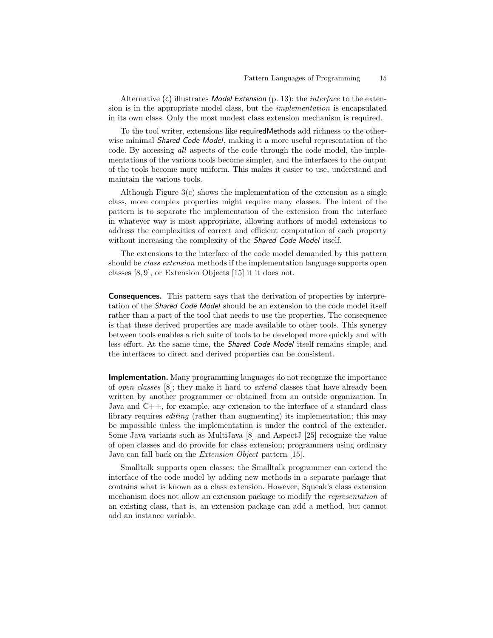Alternative (c) illustrates Model Extension  $(p, 13)$ : the *interface* to the extension is in the appropriate model class, but the implementation is encapsulated in its own class. Only the most modest class extension mechanism is required.

To the tool writer, extensions like requiredMethods add richness to the otherwise minimal *Shared Code Model*, making it a more useful representation of the code. By accessing all aspects of the code through the code model, the implementations of the various tools become simpler, and the interfaces to the output of the tools become more uniform. This makes it easier to use, understand and maintain the various tools.

Although Figure  $3(c)$  shows the implementation of the extension as a single class, more complex properties might require many classes. The intent of the pattern is to separate the implementation of the extension from the interface in whatever way is most appropriate, allowing authors of model extensions to address the complexities of correct and efficient computation of each property without increasing the complexity of the *Shared Code Model* itself.

The extensions to the interface of the code model demanded by this pattern should be *class extension* methods if the implementation language supports open classes [8, 9], or Extension Objects [15] it it does not.

Consequences. This pattern says that the derivation of properties by interpretation of the Shared Code Model should be an extension to the code model itself rather than a part of the tool that needs to use the properties. The consequence is that these derived properties are made available to other tools. This synergy between tools enables a rich suite of tools to be developed more quickly and with less effort. At the same time, the Shared Code Model itself remains simple, and the interfaces to direct and derived properties can be consistent.

Implementation. Many programming languages do not recognize the importance of open classes [8]; they make it hard to extend classes that have already been written by another programmer or obtained from an outside organization. In Java and C++, for example, any extension to the interface of a standard class library requires editing (rather than augmenting) its implementation; this may be impossible unless the implementation is under the control of the extender. Some Java variants such as MultiJava [8] and AspectJ [25] recognize the value of open classes and do provide for class extension; programmers using ordinary Java can fall back on the *Extension Object* pattern [15].

Smalltalk supports open classes: the Smalltalk programmer can extend the interface of the code model by adding new methods in a separate package that contains what is known as a class extension. However, Squeak's class extension mechanism does not allow an extension package to modify the representation of an existing class, that is, an extension package can add a method, but cannot add an instance variable.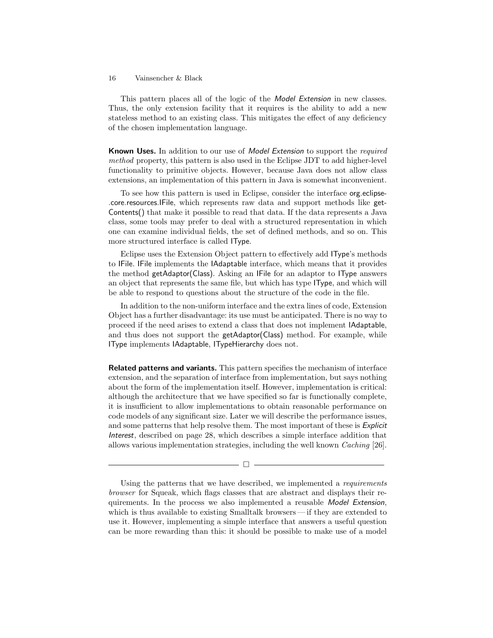This pattern places all of the logic of the Model Extension in new classes. Thus, the only extension facility that it requires is the ability to add a new stateless method to an existing class. This mitigates the effect of any deficiency of the chosen implementation language.

Known Uses. In addition to our use of Model Extension to support the required method property, this pattern is also used in the Eclipse JDT to add higher-level functionality to primitive objects. However, because Java does not allow class extensions, an implementation of this pattern in Java is somewhat inconvenient.

To see how this pattern is used in Eclipse, consider the interface org.eclipse- .core.resources.IFile, which represents raw data and support methods like get-Contents() that make it possible to read that data. If the data represents a Java class, some tools may prefer to deal with a structured representation in which one can examine individual fields, the set of defined methods, and so on. This more structured interface is called IType.

Eclipse uses the Extension Object pattern to effectively add IType's methods to IFile. IFile implements the IAdaptable interface, which means that it provides the method getAdaptor(Class). Asking an IFile for an adaptor to IType answers an object that represents the same file, but which has type IType, and which will be able to respond to questions about the structure of the code in the file.

In addition to the non-uniform interface and the extra lines of code, Extension Object has a further disadvantage: its use must be anticipated. There is no way to proceed if the need arises to extend a class that does not implement IAdaptable, and thus does not support the getAdaptor(Class) method. For example, while IType implements IAdaptable, ITypeHierarchy does not.

Related patterns and variants. This pattern specifies the mechanism of interface extension, and the separation of interface from implementation, but says nothing about the form of the implementation itself. However, implementation is critical: although the architecture that we have specified so far is functionally complete, it is insufficient to allow implementations to obtain reasonable performance on code models of any significant size. Later we will describe the performance issues, and some patterns that help resolve them. The most important of these is Explicit Interest, described on page 28, which describes a simple interface addition that allows various implementation strategies, including the well known Caching [26].

 $\Box$  -

Using the patterns that we have described, we implemented a requirements browser for Squeak, which flags classes that are abstract and displays their requirements. In the process we also implemented a reusable Model Extension, which is thus available to existing Smalltalk browsers — if they are extended to use it. However, implementing a simple interface that answers a useful question can be more rewarding than this: it should be possible to make use of a model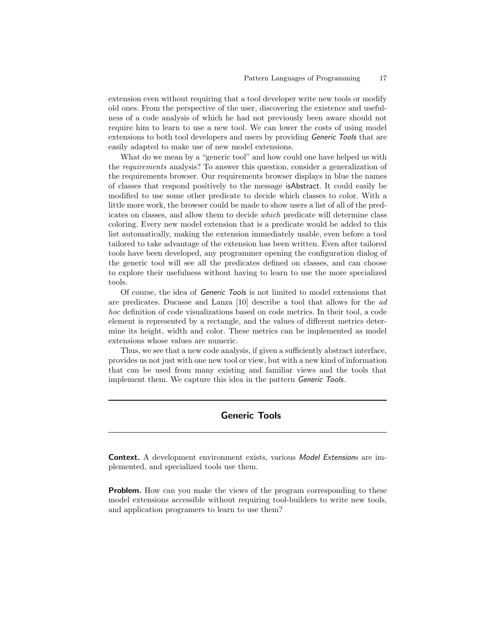extension even without requiring that a tool developer write new tools or modify old ones. From the perspective of the user, discovering the existence and usefulness of a code analysis of which he had not previously been aware should not require him to learn to use a new tool. We can lower the costs of using model extensions to both tool developers and users by providing Generic Tools that are easily adapted to make use of new model extensions.

What do we mean by a "generic tool" and how could one have helped us with the requirements analysis? To answer this question, consider a generalization of the requirements browser. Our requirements browser displays in blue the names of classes that respond positively to the message isAbstract. It could easily be modified to use some other predicate to decide which classes to color. With a little more work, the browser could be made to show users a list of all of the predicates on classes, and allow them to decide which predicate will determine class coloring. Every new model extension that is a predicate would be added to this list automatically, making the extension immediately usable, even before a tool tailored to take advantage of the extension has been written. Even after tailored tools have been developed, any programmer opening the configuration dialog of the generic tool will see all the predicates defined on classes, and can choose to explore their usefulness without having to learn to use the more specialized tools.

Of course, the idea of Generic Tools is not limited to model extensions that are predicates. Ducasse and Lanza [10] describe a tool that allows for the ad hoc definition of code visualizations based on code metrics. In their tool, a code element is represented by a rectangle, and the values of different metrics determine its height, width and color. These metrics can be implemented as model extensions whose values are numeric.

Thus, we see that a new code analysis, if given a sufficiently abstract interface, provides us not just with one new tool or view, but with a new kind of information that can be used from many existing and familiar views and the tools that implement them. We capture this idea in the pattern Generic Tools.

## Generic Tools

Context. A development environment exists, various Model Extensions are implemented, and specialized tools use them.

**Problem.** How can you make the views of the program corresponding to these model extensions accessible without requiring tool-builders to write new tools, and application programers to learn to use them?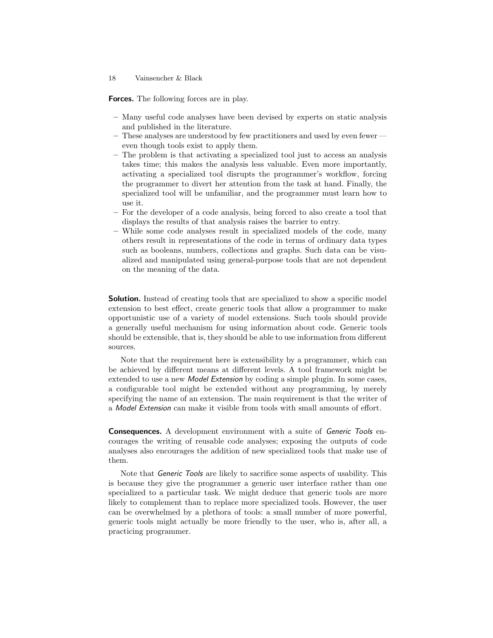Forces. The following forces are in play.

- Many useful code analyses have been devised by experts on static analysis and published in the literature.
- These analyses are understood by few practitioners and used by even fewer even though tools exist to apply them.
- The problem is that activating a specialized tool just to access an analysis takes time; this makes the analysis less valuable. Even more importantly, activating a specialized tool disrupts the programmer's workflow, forcing the programmer to divert her attention from the task at hand. Finally, the specialized tool will be unfamiliar, and the programmer must learn how to use it.
- For the developer of a code analysis, being forced to also create a tool that displays the results of that analysis raises the barrier to entry.
- While some code analyses result in specialized models of the code, many others result in representations of the code in terms of ordinary data types such as booleans, numbers, collections and graphs. Such data can be visualized and manipulated using general-purpose tools that are not dependent on the meaning of the data.

**Solution.** Instead of creating tools that are specialized to show a specific model extension to best effect, create generic tools that allow a programmer to make opportunistic use of a variety of model extensions. Such tools should provide a generally useful mechanism for using information about code. Generic tools should be extensible, that is, they should be able to use information from different sources.

Note that the requirement here is extensibility by a programmer, which can be achieved by different means at different levels. A tool framework might be extended to use a new Model Extension by coding a simple plugin. In some cases, a configurable tool might be extended without any programming, by merely specifying the name of an extension. The main requirement is that the writer of a Model Extension can make it visible from tools with small amounts of effort.

Consequences. A development environment with a suite of Generic Tools encourages the writing of reusable code analyses; exposing the outputs of code analyses also encourages the addition of new specialized tools that make use of them.

Note that Generic Tools are likely to sacrifice some aspects of usability. This is because they give the programmer a generic user interface rather than one specialized to a particular task. We might deduce that generic tools are more likely to complement than to replace more specialized tools. However, the user can be overwhelmed by a plethora of tools: a small number of more powerful, generic tools might actually be more friendly to the user, who is, after all, a practicing programmer.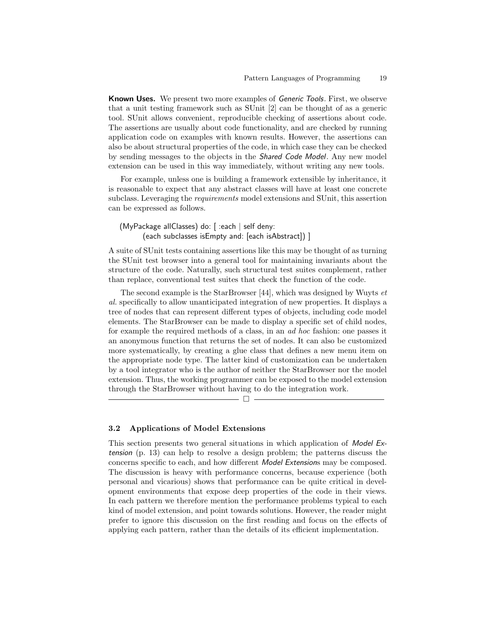**Known Uses.** We present two more examples of *Generic Tools*. First, we observe that a unit testing framework such as SUnit [2] can be thought of as a generic tool. SUnit allows convenient, reproducible checking of assertions about code. The assertions are usually about code functionality, and are checked by running application code on examples with known results. However, the assertions can also be about structural properties of the code, in which case they can be checked by sending messages to the objects in the Shared Code Model. Any new model extension can be used in this way immediately, without writing any new tools.

For example, unless one is building a framework extensible by inheritance, it is reasonable to expect that any abstract classes will have at least one concrete subclass. Leveraging the *requirements* model extensions and SUnit, this assertion can be expressed as follows.

(MyPackage allClasses) do: [ :each | self deny: (each subclasses isEmpty and: [each isAbstract]) ]

A suite of SUnit tests containing assertions like this may be thought of as turning the SUnit test browser into a general tool for maintaining invariants about the structure of the code. Naturally, such structural test suites complement, rather than replace, conventional test suites that check the function of the code.

The second example is the StarBrowser  $[44]$ , which was designed by Wuyts  $et$ al. specifically to allow unanticipated integration of new properties. It displays a tree of nodes that can represent different types of objects, including code model elements. The StarBrowser can be made to display a specific set of child nodes, for example the required methods of a class, in an ad hoc fashion: one passes it an anonymous function that returns the set of nodes. It can also be customized more systematically, by creating a glue class that defines a new menu item on the appropriate node type. The latter kind of customization can be undertaken by a tool integrator who is the author of neither the StarBrowser nor the model extension. Thus, the working programmer can be exposed to the model extension through the StarBrowser without having to do the integration work.

 $-$  0  $-$ 

### 3.2 Applications of Model Extensions

This section presents two general situations in which application of Model Extension (p. 13) can help to resolve a design problem; the patterns discuss the concerns specific to each, and how different Model Extensions may be composed. The discussion is heavy with performance concerns, because experience (both personal and vicarious) shows that performance can be quite critical in development environments that expose deep properties of the code in their views. In each pattern we therefore mention the performance problems typical to each kind of model extension, and point towards solutions. However, the reader might prefer to ignore this discussion on the first reading and focus on the effects of applying each pattern, rather than the details of its efficient implementation.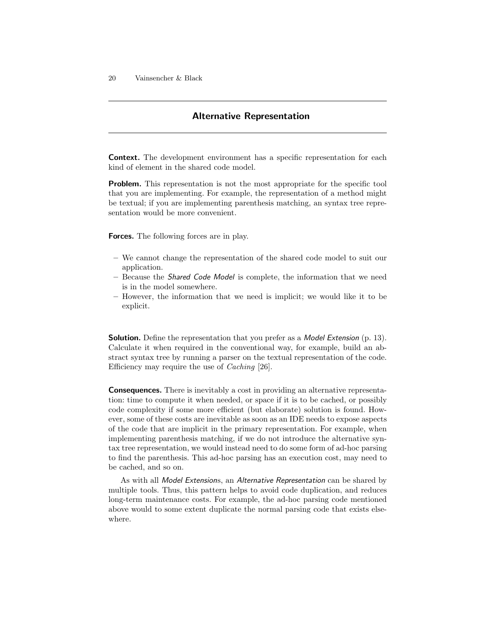## Alternative Representation

**Context.** The development environment has a specific representation for each kind of element in the shared code model.

Problem. This representation is not the most appropriate for the specific tool that you are implementing. For example, the representation of a method might be textual; if you are implementing parenthesis matching, an syntax tree representation would be more convenient.

Forces. The following forces are in play.

- We cannot change the representation of the shared code model to suit our application.
- Because the Shared Code Model is complete, the information that we need is in the model somewhere.
- However, the information that we need is implicit; we would like it to be explicit.

**Solution.** Define the representation that you prefer as a *Model Extension* (p. 13). Calculate it when required in the conventional way, for example, build an abstract syntax tree by running a parser on the textual representation of the code. Efficiency may require the use of Caching [26].

Consequences. There is inevitably a cost in providing an alternative representation: time to compute it when needed, or space if it is to be cached, or possibly code complexity if some more efficient (but elaborate) solution is found. However, some of these costs are inevitable as soon as an IDE needs to expose aspects of the code that are implicit in the primary representation. For example, when implementing parenthesis matching, if we do not introduce the alternative syntax tree representation, we would instead need to do some form of ad-hoc parsing to find the parenthesis. This ad-hoc parsing has an execution cost, may need to be cached, and so on.

As with all Model Extensions, an Alternative Representation can be shared by multiple tools. Thus, this pattern helps to avoid code duplication, and reduces long-term maintenance costs. For example, the ad-hoc parsing code mentioned above would to some extent duplicate the normal parsing code that exists elsewhere.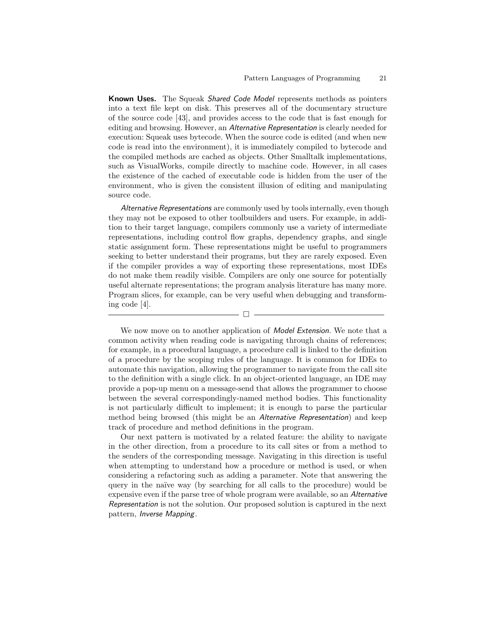Known Uses. The Squeak Shared Code Model represents methods as pointers into a text file kept on disk. This preserves all of the documentary structure of the source code [43], and provides access to the code that is fast enough for editing and browsing. However, an Alternative Representation is clearly needed for execution: Squeak uses bytecode. When the source code is edited (and when new code is read into the environment), it is immediately compiled to bytecode and the compiled methods are cached as objects. Other Smalltalk implementations, such as VisualWorks, compile directly to machine code. However, in all cases the existence of the cached of executable code is hidden from the user of the environment, who is given the consistent illusion of editing and manipulating source code.

Alternative Representations are commonly used by tools internally, even though they may not be exposed to other toolbuilders and users. For example, in addition to their target language, compilers commonly use a variety of intermediate representations, including control flow graphs, dependency graphs, and single static assignment form. These representations might be useful to programmers seeking to better understand their programs, but they are rarely exposed. Even if the compiler provides a way of exporting these representations, most IDEs do not make them readily visible. Compilers are only one source for potentially useful alternate representations; the program analysis literature has many more. Program slices, for example, can be very useful when debugging and transforming code [4].

 $\begin{tabular}{ccccccccc} \multicolumn{4}{c|}{\textbf{1} } & \multicolumn{4}{c|}{\textbf{2} } & \multicolumn{4}{c|}{\textbf{3} } & \multicolumn{4}{c|}{\textbf{4} } & \multicolumn{4}{c|}{\textbf{5} } & \multicolumn{4}{c|}{\textbf{6} } & \multicolumn{4}{c|}{\textbf{7} } & \multicolumn{4}{c|}{\textbf{8} } & \multicolumn{4}{c|}{\textbf{9} } & \multicolumn{4}{c|}{\textbf{1} } & \multicolumn{4}{c|}{\textbf{1} } & \multicolumn{4}{c|}{\text$ 

We now move on to another application of **Model Extension**. We note that a common activity when reading code is navigating through chains of references; for example, in a procedural language, a procedure call is linked to the definition of a procedure by the scoping rules of the language. It is common for IDEs to automate this navigation, allowing the programmer to navigate from the call site to the definition with a single click. In an object-oriented language, an IDE may provide a pop-up menu on a message-send that allows the programmer to choose between the several correspondingly-named method bodies. This functionality is not particularly difficult to implement; it is enough to parse the particular method being browsed (this might be an *Alternative Representation*) and keep track of procedure and method definitions in the program.

Our next pattern is motivated by a related feature: the ability to navigate in the other direction, from a procedure to its call sites or from a method to the senders of the corresponding message. Navigating in this direction is useful when attempting to understand how a procedure or method is used, or when considering a refactoring such as adding a parameter. Note that answering the query in the na¨ıve way (by searching for all calls to the procedure) would be expensive even if the parse tree of whole program were available, so an Alternative Representation is not the solution. Our proposed solution is captured in the next pattern, Inverse Mapping.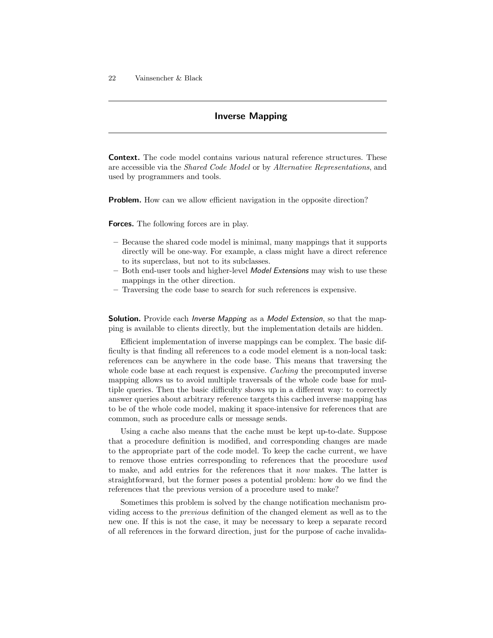## Inverse Mapping

**Context.** The code model contains various natural reference structures. These are accessible via the Shared Code Model or by Alternative Representations, and used by programmers and tools.

**Problem.** How can we allow efficient navigation in the opposite direction?

Forces. The following forces are in play.

- Because the shared code model is minimal, many mappings that it supports directly will be one-way. For example, a class might have a direct reference to its superclass, but not to its subclasses.
- Both end-user tools and higher-level Model Extensions may wish to use these mappings in the other direction.
- Traversing the code base to search for such references is expensive.

Solution. Provide each Inverse Mapping as a Model Extension, so that the mapping is available to clients directly, but the implementation details are hidden.

Efficient implementation of inverse mappings can be complex. The basic difficulty is that finding all references to a code model element is a non-local task: references can be anywhere in the code base. This means that traversing the whole code base at each request is expensive. *Caching* the precomputed inverse mapping allows us to avoid multiple traversals of the whole code base for multiple queries. Then the basic difficulty shows up in a different way: to correctly answer queries about arbitrary reference targets this cached inverse mapping has to be of the whole code model, making it space-intensive for references that are common, such as procedure calls or message sends.

Using a cache also means that the cache must be kept up-to-date. Suppose that a procedure definition is modified, and corresponding changes are made to the appropriate part of the code model. To keep the cache current, we have to remove those entries corresponding to references that the procedure used to make, and add entries for the references that it now makes. The latter is straightforward, but the former poses a potential problem: how do we find the references that the previous version of a procedure used to make?

Sometimes this problem is solved by the change notification mechanism providing access to the previous definition of the changed element as well as to the new one. If this is not the case, it may be necessary to keep a separate record of all references in the forward direction, just for the purpose of cache invalida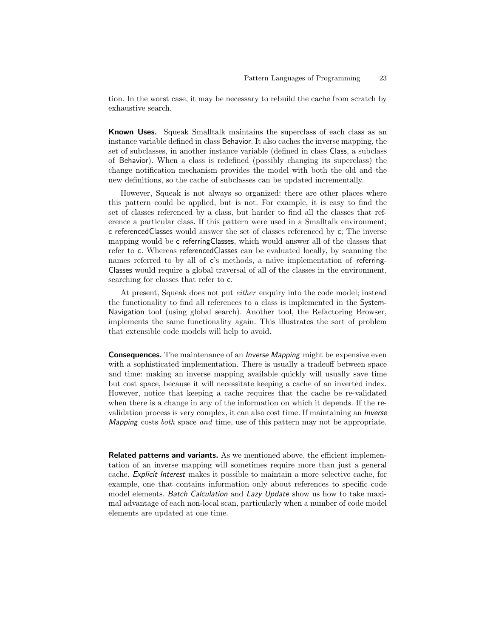tion. In the worst case, it may be necessary to rebuild the cache from scratch by exhaustive search.

Known Uses. Squeak Smalltalk maintains the superclass of each class as an instance variable defined in class Behavior. It also caches the inverse mapping, the set of subclasses, in another instance variable (defined in class Class, a subclass of Behavior). When a class is redefined (possibly changing its superclass) the change notification mechanism provides the model with both the old and the new definitions, so the cache of subclasses can be updated incrementally.

However, Squeak is not always so organized: there are other places where this pattern could be applied, but is not. For example, it is easy to find the set of classes referenced by a class, but harder to find all the classes that reference a particular class. If this pattern were used in a Smalltalk environment, c referencedClasses would answer the set of classes referenced by c; The inverse mapping would be c referringClasses, which would answer all of the classes that refer to c. Whereas referencedClasses can be evaluated locally, by scanning the names referred to by all of c's methods, a naïve implementation of referring-Classes would require a global traversal of all of the classes in the environment, searching for classes that refer to c.

At present, Squeak does not put either enquiry into the code model; instead the functionality to find all references to a class is implemented in the System-Navigation tool (using global search). Another tool, the Refactoring Browser, implements the same functionality again. This illustrates the sort of problem that extensible code models will help to avoid.

**Consequences.** The maintenance of an *Inverse Mapping* might be expensive even with a sophisticated implementation. There is usually a tradeoff between space and time: making an inverse mapping available quickly will usually save time but cost space, because it will necessitate keeping a cache of an inverted index. However, notice that keeping a cache requires that the cache be re-validated when there is a change in any of the information on which it depends. If the revalidation process is very complex, it can also cost time. If maintaining an Inverse Mapping costs both space and time, use of this pattern may not be appropriate.

Related patterns and variants. As we mentioned above, the efficient implementation of an inverse mapping will sometimes require more than just a general cache. Explicit Interest makes it possible to maintain a more selective cache, for example, one that contains information only about references to specific code model elements. Batch Calculation and Lazy Update show us how to take maximal advantage of each non-local scan, particularly when a number of code model elements are updated at one time.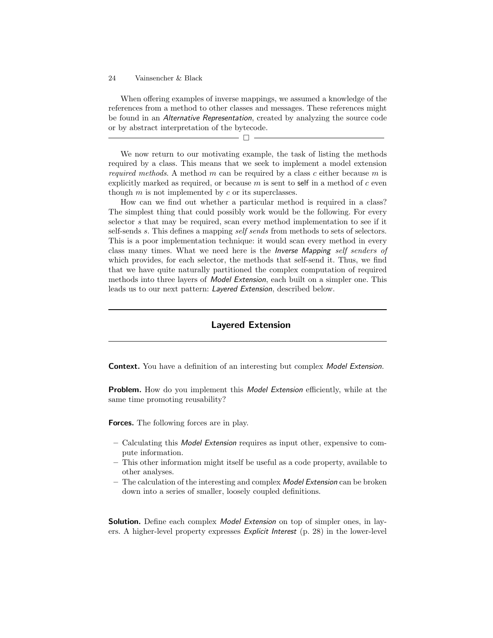When offering examples of inverse mappings, we assumed a knowledge of the references from a method to other classes and messages. These references might be found in an Alternative Representation, created by analyzing the source code or by abstract interpretation of the bytecode.

 $\overline{\phantom{0}}$   $\overline{\phantom{0}}$   $\overline{\phantom{0}}$   $\overline{\phantom{0}}$   $\overline{\phantom{0}}$   $\overline{\phantom{0}}$   $\overline{\phantom{0}}$   $\overline{\phantom{0}}$   $\overline{\phantom{0}}$   $\overline{\phantom{0}}$   $\overline{\phantom{0}}$   $\overline{\phantom{0}}$   $\overline{\phantom{0}}$   $\overline{\phantom{0}}$   $\overline{\phantom{0}}$   $\overline{\phantom{0}}$   $\overline{\phantom{0}}$   $\overline{\phantom{0}}$   $\overline{\$ 

We now return to our motivating example, the task of listing the methods required by a class. This means that we seek to implement a model extension *required methods.* A method  $m$  can be required by a class  $c$  either because  $m$  is explicitly marked as required, or because m is sent to self in a method of  $c$  even though  $m$  is not implemented by  $c$  or its superclasses.

How can we find out whether a particular method is required in a class? The simplest thing that could possibly work would be the following. For every selector s that may be required, scan every method implementation to see if it self-sends s. This defines a mapping self sends from methods to sets of selectors. This is a poor implementation technique: it would scan every method in every class many times. What we need here is the Inverse Mapping self senders of which provides, for each selector, the methods that self-send it. Thus, we find that we have quite naturally partitioned the complex computation of required methods into three layers of Model Extension, each built on a simpler one. This leads us to our next pattern: Layered Extension, described below.

## Layered Extension

Context. You have a definition of an interesting but complex Model Extension.

Problem. How do you implement this Model Extension efficiently, while at the same time promoting reusability?

**Forces.** The following forces are in play.

- Calculating this Model Extension requires as input other, expensive to compute information.
- This other information might itself be useful as a code property, available to other analyses.
- The calculation of the interesting and complex Model Extension can be broken down into a series of smaller, loosely coupled definitions.

Solution. Define each complex Model Extension on top of simpler ones, in layers. A higher-level property expresses Explicit Interest (p. 28) in the lower-level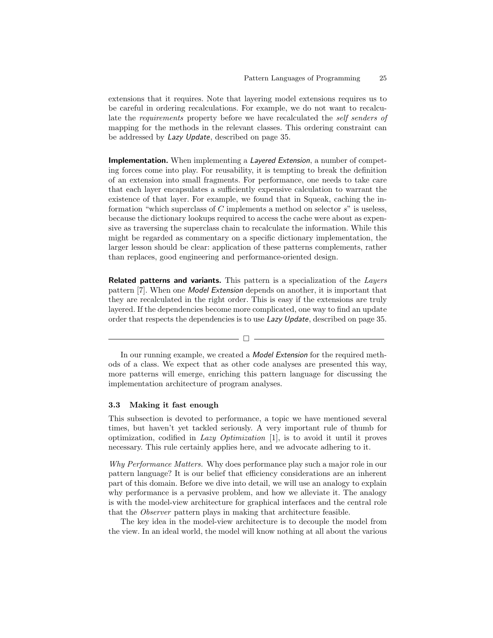extensions that it requires. Note that layering model extensions requires us to be careful in ordering recalculations. For example, we do not want to recalculate the requirements property before we have recalculated the self senders of mapping for the methods in the relevant classes. This ordering constraint can be addressed by Lazy Update, described on page 35.

**Implementation.** When implementing a *Layered Extension*, a number of competing forces come into play. For reusability, it is tempting to break the definition of an extension into small fragments. For performance, one needs to take care that each layer encapsulates a sufficiently expensive calculation to warrant the existence of that layer. For example, we found that in Squeak, caching the information "which superclass of  $C$  implements a method on selector  $s$ " is useless, because the dictionary lookups required to access the cache were about as expensive as traversing the superclass chain to recalculate the information. While this might be regarded as commentary on a specific dictionary implementation, the larger lesson should be clear: application of these patterns complements, rather than replaces, good engineering and performance-oriented design.

**Related patterns and variants.** This pattern is a specialization of the *Layers* pattern [7]. When one Model Extension depends on another, it is important that they are recalculated in the right order. This is easy if the extensions are truly layered. If the dependencies become more complicated, one way to find an update order that respects the dependencies is to use Lazy Update, described on page 35.

In our running example, we created a *Model Extension* for the required methods of a class. We expect that as other code analyses are presented this way, more patterns will emerge, enriching this pattern language for discussing the implementation architecture of program analyses.

 $- \Box -$ 

### 3.3 Making it fast enough

This subsection is devoted to performance, a topic we have mentioned several times, but haven't yet tackled seriously. A very important rule of thumb for optimization, codified in Lazy Optimization [1], is to avoid it until it proves necessary. This rule certainly applies here, and we advocate adhering to it.

Why Performance Matters. Why does performance play such a major role in our pattern language? It is our belief that efficiency considerations are an inherent part of this domain. Before we dive into detail, we will use an analogy to explain why performance is a pervasive problem, and how we alleviate it. The analogy is with the model-view architecture for graphical interfaces and the central role that the Observer pattern plays in making that architecture feasible.

The key idea in the model-view architecture is to decouple the model from the view. In an ideal world, the model will know nothing at all about the various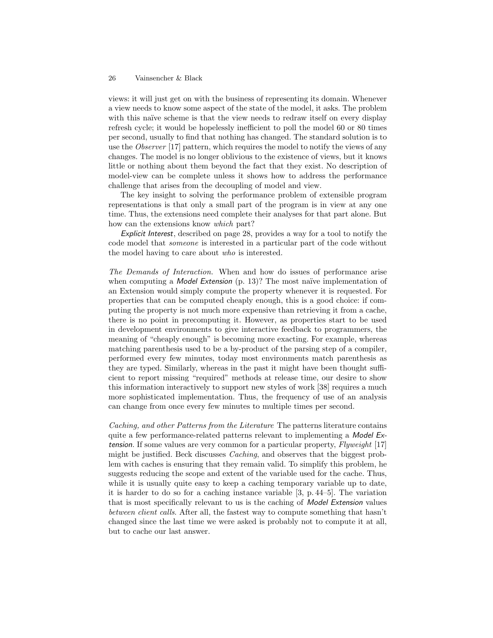views: it will just get on with the business of representing its domain. Whenever a view needs to know some aspect of the state of the model, it asks. The problem with this naïve scheme is that the view needs to redraw itself on every display refresh cycle; it would be hopelessly inefficient to poll the model 60 or 80 times per second, usually to find that nothing has changed. The standard solution is to use the Observer [17] pattern, which requires the model to notify the views of any changes. The model is no longer oblivious to the existence of views, but it knows little or nothing about them beyond the fact that they exist. No description of model-view can be complete unless it shows how to address the performance challenge that arises from the decoupling of model and view.

The key insight to solving the performance problem of extensible program representations is that only a small part of the program is in view at any one time. Thus, the extensions need complete their analyses for that part alone. But how can the extensions know which part?

Explicit Interest, described on page 28, provides a way for a tool to notify the code model that someone is interested in a particular part of the code without the model having to care about who is interested.

The Demands of Interaction. When and how do issues of performance arise when computing a Model Extension  $(p. 13)$ ? The most naïve implementation of an Extension would simply compute the property whenever it is requested. For properties that can be computed cheaply enough, this is a good choice: if computing the property is not much more expensive than retrieving it from a cache, there is no point in precomputing it. However, as properties start to be used in development environments to give interactive feedback to programmers, the meaning of "cheaply enough" is becoming more exacting. For example, whereas matching parenthesis used to be a by-product of the parsing step of a compiler, performed every few minutes, today most environments match parenthesis as they are typed. Similarly, whereas in the past it might have been thought sufficient to report missing "required" methods at release time, our desire to show this information interactively to support new styles of work [38] requires a much more sophisticated implementation. Thus, the frequency of use of an analysis can change from once every few minutes to multiple times per second.

Caching, and other Patterns from the Literature The patterns literature contains quite a few performance-related patterns relevant to implementing a Model Extension. If some values are very common for a particular property, Flyweight [17] might be justified. Beck discusses Caching, and observes that the biggest problem with caches is ensuring that they remain valid. To simplify this problem, he suggests reducing the scope and extent of the variable used for the cache. Thus, while it is usually quite easy to keep a caching temporary variable up to date, it is harder to do so for a caching instance variable [3, p. 44–5]. The variation that is most specifically relevant to us is the caching of Model Extension values between client calls. After all, the fastest way to compute something that hasn't changed since the last time we were asked is probably not to compute it at all, but to cache our last answer.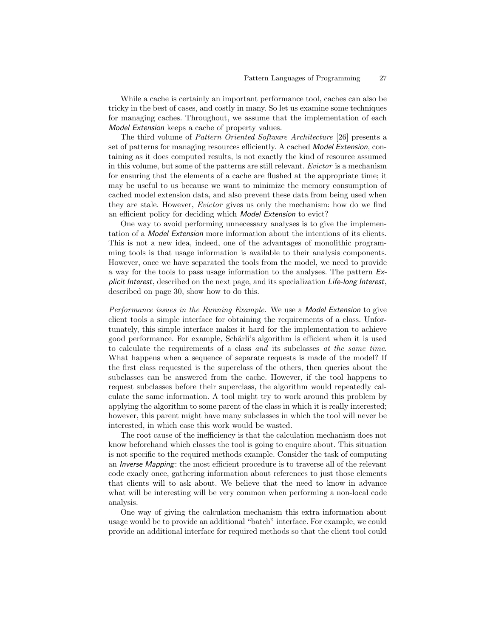While a cache is certainly an important performance tool, caches can also be tricky in the best of cases, and costly in many. So let us examine some techniques for managing caches. Throughout, we assume that the implementation of each Model Extension keeps a cache of property values.

The third volume of Pattern Oriented Software Architecture [26] presents a set of patterns for managing resources efficiently. A cached Model Extension, containing as it does computed results, is not exactly the kind of resource assumed in this volume, but some of the patterns are still relevant. Evictor is a mechanism for ensuring that the elements of a cache are flushed at the appropriate time; it may be useful to us because we want to minimize the memory consumption of cached model extension data, and also prevent these data from being used when they are stale. However, Evictor gives us only the mechanism: how do we find an efficient policy for deciding which Model Extension to evict?

One way to avoid performing unnecessary analyses is to give the implementation of a Model Extension more information about the intentions of its clients. This is not a new idea, indeed, one of the advantages of monolithic programming tools is that usage information is available to their analysis components. However, once we have separated the tools from the model, we need to provide a way for the tools to pass usage information to the analyses. The pattern Explicit Interest, described on the next page, and its specialization Life-long Interest, described on page 30, show how to do this.

Performance issues in the Running Example. We use a Model Extension to give client tools a simple interface for obtaining the requirements of a class. Unfortunately, this simple interface makes it hard for the implementation to achieve good performance. For example, Schärli's algorithm is efficient when it is used to calculate the requirements of a class and its subclasses at the same time. What happens when a sequence of separate requests is made of the model? If the first class requested is the superclass of the others, then queries about the subclasses can be answered from the cache. However, if the tool happens to request subclasses before their superclass, the algorithm would repeatedly calculate the same information. A tool might try to work around this problem by applying the algorithm to some parent of the class in which it is really interested; however, this parent might have many subclasses in which the tool will never be interested, in which case this work would be wasted.

The root cause of the inefficiency is that the calculation mechanism does not know beforehand which classes the tool is going to enquire about. This situation is not specific to the required methods example. Consider the task of computing an Inverse Mapping: the most efficient procedure is to traverse all of the relevant code exacly once, gathering information about references to just those elements that clients will to ask about. We believe that the need to know in advance what will be interesting will be very common when performing a non-local code analysis.

One way of giving the calculation mechanism this extra information about usage would be to provide an additional "batch" interface. For example, we could provide an additional interface for required methods so that the client tool could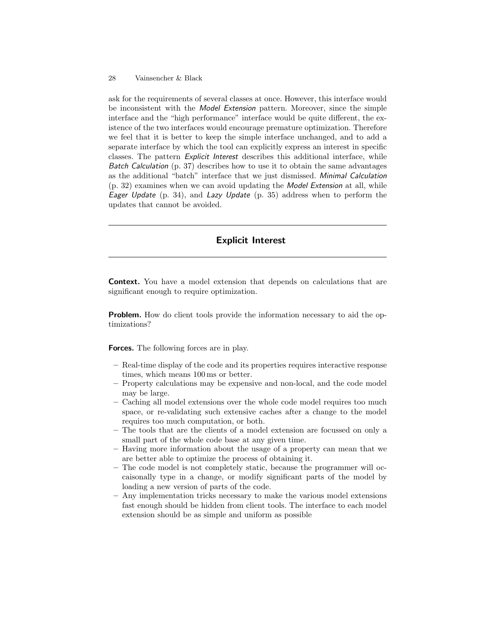ask for the requirements of several classes at once. However, this interface would be inconsistent with the Model Extension pattern. Moreover, since the simple interface and the "high performance" interface would be quite different, the existence of the two interfaces would encourage premature optimization. Therefore we feel that it is better to keep the simple interface unchanged, and to add a separate interface by which the tool can explicitly express an interest in specific classes. The pattern Explicit Interest describes this additional interface, while Batch Calculation (p. 37) describes how to use it to obtain the same advantages as the additional "batch" interface that we just dismissed. Minimal Calculation (p. 32) examines when we can avoid updating the Model Extension at all, while Eager Update (p. 34), and Lazy Update (p. 35) address when to perform the updates that cannot be avoided.

### Explicit Interest

Context. You have a model extension that depends on calculations that are significant enough to require optimization.

**Problem.** How do client tools provide the information necessary to aid the optimizations?

**Forces.** The following forces are in play.

- Real-time display of the code and its properties requires interactive response times, which means 100 ms or better.
- Property calculations may be expensive and non-local, and the code model may be large.
- Caching all model extensions over the whole code model requires too much space, or re-validating such extensive caches after a change to the model requires too much computation, or both.
- The tools that are the clients of a model extension are focussed on only a small part of the whole code base at any given time.
- Having more information about the usage of a property can mean that we are better able to optimize the process of obtaining it.
- The code model is not completely static, because the programmer will occaisonally type in a change, or modify significant parts of the model by loading a new version of parts of the code.
- Any implementation tricks necessary to make the various model extensions fast enough should be hidden from client tools. The interface to each model extension should be as simple and uniform as possible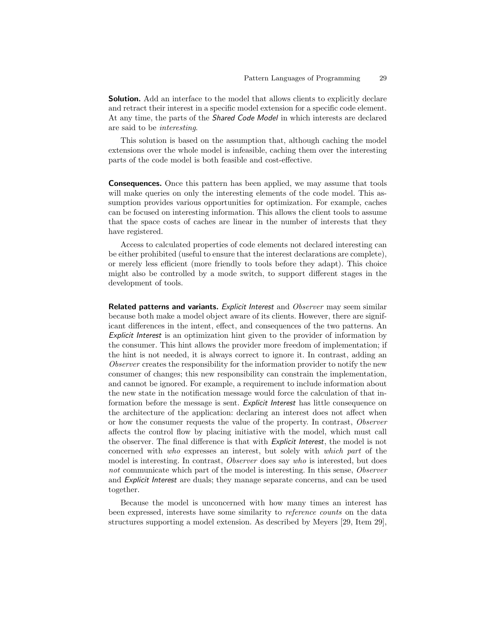**Solution.** Add an interface to the model that allows clients to explicitly declare and retract their interest in a specific model extension for a specific code element. At any time, the parts of the Shared Code Model in which interests are declared are said to be interesting.

This solution is based on the assumption that, although caching the model extensions over the whole model is infeasible, caching them over the interesting parts of the code model is both feasible and cost-effective.

Consequences. Once this pattern has been applied, we may assume that tools will make queries on only the interesting elements of the code model. This assumption provides various opportunities for optimization. For example, caches can be focused on interesting information. This allows the client tools to assume that the space costs of caches are linear in the number of interests that they have registered.

Access to calculated properties of code elements not declared interesting can be either prohibited (useful to ensure that the interest declarations are complete), or merely less efficient (more friendly to tools before they adapt). This choice might also be controlled by a mode switch, to support different stages in the development of tools.

Related patterns and variants. Explicit Interest and Observer may seem similar because both make a model object aware of its clients. However, there are significant differences in the intent, effect, and consequences of the two patterns. An Explicit Interest is an optimization hint given to the provider of information by the consumer. This hint allows the provider more freedom of implementation; if the hint is not needed, it is always correct to ignore it. In contrast, adding an Observer creates the responsibility for the information provider to notify the new consumer of changes; this new responsibility can constrain the implementation, and cannot be ignored. For example, a requirement to include information about the new state in the notification message would force the calculation of that information before the message is sent. Explicit Interest has little consequence on the architecture of the application: declaring an interest does not affect when or how the consumer requests the value of the property. In contrast, Observer affects the control flow by placing initiative with the model, which must call the observer. The final difference is that with Explicit Interest, the model is not concerned with who expresses an interest, but solely with which part of the model is interesting. In contrast, Observer does say who is interested, but does not communicate which part of the model is interesting. In this sense, Observer and Explicit Interest are duals; they manage separate concerns, and can be used together.

Because the model is unconcerned with how many times an interest has been expressed, interests have some similarity to reference counts on the data structures supporting a model extension. As described by Meyers [29, Item 29],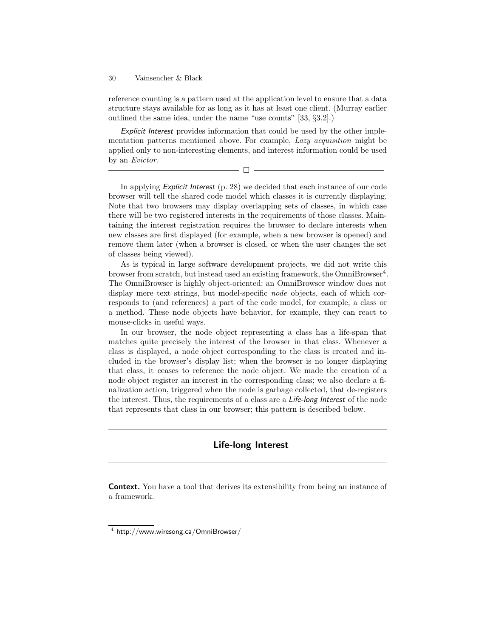reference counting is a pattern used at the application level to ensure that a data structure stays available for as long as it has at least one client. (Murray earlier outlined the same idea, under the name "use counts" [33, §3.2].)

Explicit Interest provides information that could be used by the other implementation patterns mentioned above. For example, Lazy acquisition might be applied only to non-interesting elements, and interest information could be used by an Evictor.

 $\Box$   $-$ 

In applying Explicit Interest (p. 28) we decided that each instance of our code browser will tell the shared code model which classes it is currently displaying. Note that two browsers may display overlapping sets of classes, in which case there will be two registered interests in the requirements of those classes. Maintaining the interest registration requires the browser to declare interests when new classes are first displayed (for example, when a new browser is opened) and remove them later (when a browser is closed, or when the user changes the set of classes being viewed).

As is typical in large software development projects, we did not write this browser from scratch, but instead used an existing framework, the OmniBrowser<sup>4</sup>. The OmniBrowser is highly object-oriented: an OmniBrowser window does not display mere text strings, but model-specific *node* objects, each of which corresponds to (and references) a part of the code model, for example, a class or a method. These node objects have behavior, for example, they can react to mouse-clicks in useful ways.

In our browser, the node object representing a class has a life-span that matches quite precisely the interest of the browser in that class. Whenever a class is displayed, a node object corresponding to the class is created and included in the browser's display list; when the browser is no longer displaying that class, it ceases to reference the node object. We made the creation of a node object register an interest in the corresponding class; we also declare a finalization action, triggered when the node is garbage collected, that de-registers the interest. Thus, the requirements of a class are a Life-long Interest of the node that represents that class in our browser; this pattern is described below.

## Life-long Interest

**Context.** You have a tool that derives its extensibility from being an instance of a framework.

 $^4$  http://www.wiresong.ca/OmniBrowser/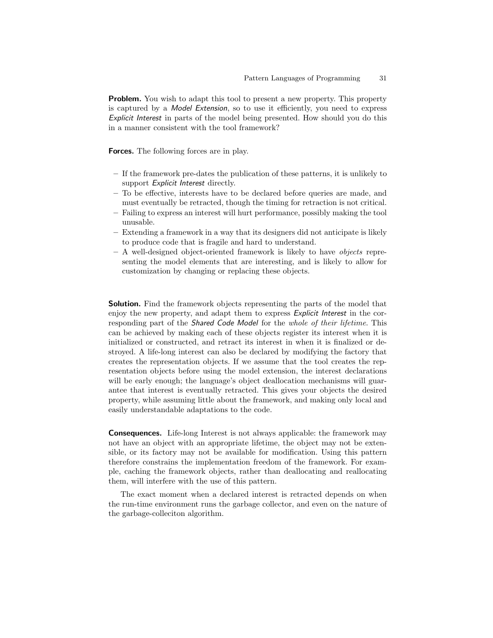Problem. You wish to adapt this tool to present a new property. This property is captured by a Model Extension, so to use it efficiently, you need to express Explicit Interest in parts of the model being presented. How should you do this in a manner consistent with the tool framework?

Forces. The following forces are in play.

- If the framework pre-dates the publication of these patterns, it is unlikely to support Explicit Interest directly.
- To be effective, interests have to be declared before queries are made, and must eventually be retracted, though the timing for retraction is not critical. – Failing to express an interest will hurt performance, possibly making the tool
- unusable.
- Extending a framework in a way that its designers did not anticipate is likely to produce code that is fragile and hard to understand.
- A well-designed object-oriented framework is likely to have objects representing the model elements that are interesting, and is likely to allow for customization by changing or replacing these objects.

**Solution.** Find the framework objects representing the parts of the model that enjoy the new property, and adapt them to express Explicit Interest in the corresponding part of the *Shared Code Model* for the *whole of their lifetime*. This can be achieved by making each of these objects register its interest when it is initialized or constructed, and retract its interest in when it is finalized or destroyed. A life-long interest can also be declared by modifying the factory that creates the representation objects. If we assume that the tool creates the representation objects before using the model extension, the interest declarations will be early enough; the language's object deallocation mechanisms will guarantee that interest is eventually retracted. This gives your objects the desired property, while assuming little about the framework, and making only local and easily understandable adaptations to the code.

Consequences. Life-long Interest is not always applicable: the framework may not have an object with an appropriate lifetime, the object may not be extensible, or its factory may not be available for modification. Using this pattern therefore constrains the implementation freedom of the framework. For example, caching the framework objects, rather than deallocating and reallocating them, will interfere with the use of this pattern.

The exact moment when a declared interest is retracted depends on when the run-time environment runs the garbage collector, and even on the nature of the garbage-colleciton algorithm.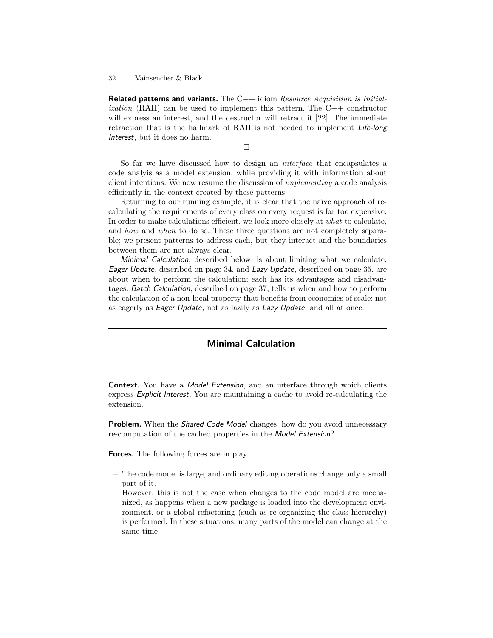**Related patterns and variants.** The  $C++$  idiom Resource Acquisition is Initial*ization* (RAII) can be used to implement this pattern. The  $C++$  constructor will express an interest, and the destructor will retract it [22]. The immediate retraction that is the hallmark of RAII is not needed to implement Life-long Interest, but it does no harm.

 $\Box$   $-$ 

So far we have discussed how to design an interface that encapsulates a code analyis as a model extension, while providing it with information about client intentions. We now resume the discussion of implementing a code analysis efficiently in the context created by these patterns.

Returning to our running example, it is clear that the naïve approach of recalculating the requirements of every class on every request is far too expensive. In order to make calculations efficient, we look more closely at what to calculate, and how and when to do so. These three questions are not completely separable; we present patterns to address each, but they interact and the boundaries between them are not always clear.

Minimal Calculation, described below, is about limiting what we calculate. Eager Update, described on page 34, and Lazy Update, described on page 35, are about when to perform the calculation; each has its advantages and disadvantages. Batch Calculation, described on page 37, tells us when and how to perform the calculation of a non-local property that benefits from economies of scale: not as eagerly as Eager Update, not as lazily as Lazy Update, and all at once.

## Minimal Calculation

**Context.** You have a *Model Extension*, and an interface through which clients express Explicit Interest. You are maintaining a cache to avoid re-calculating the extension.

Problem. When the Shared Code Model changes, how do you avoid unnecessary re-computation of the cached properties in the Model Extension?

Forces. The following forces are in play.

- The code model is large, and ordinary editing operations change only a small part of it.
- However, this is not the case when changes to the code model are mechanized, as happens when a new package is loaded into the development environment, or a global refactoring (such as re-organizing the class hierarchy) is performed. In these situations, many parts of the model can change at the same time.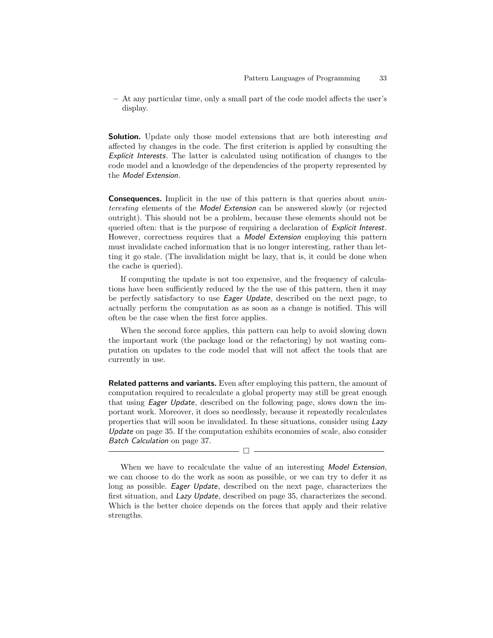– At any particular time, only a small part of the code model affects the user's display.

**Solution.** Update only those model extensions that are both interesting and affected by changes in the code. The first criterion is applied by consulting the Explicit Interests. The latter is calculated using notification of changes to the code model and a knowledge of the dependencies of the property represented by the Model Extension.

**Consequences.** Implicit in the use of this pattern is that queries about *unin*teresting elements of the Model Extension can be answered slowly (or rejected outright). This should not be a problem, because these elements should not be queried often: that is the purpose of requiring a declaration of Explicit Interest. However, correctness requires that a Model Extension employing this pattern must invalidate cached information that is no longer interesting, rather than letting it go stale. (The invalidation might be lazy, that is, it could be done when the cache is queried).

If computing the update is not too expensive, and the frequency of calculations have been sufficiently reduced by the the use of this pattern, then it may be perfectly satisfactory to use Eager Update, described on the next page, to actually perform the computation as as soon as a change is notified. This will often be the case when the first force applies.

When the second force applies, this pattern can help to avoid slowing down the important work (the package load or the refactoring) by not wasting computation on updates to the code model that will not affect the tools that are currently in use.

Related patterns and variants. Even after employing this pattern, the amount of computation required to recalculate a global property may still be great enough that using Eager Update, described on the following page, slows down the important work. Moreover, it does so needlessly, because it repeatedly recalculates properties that will soon be invalidated. In these situations, consider using Lazy Update on page 35. If the computation exhibits economies of scale, also consider Batch Calculation on page 37.

When we have to recalculate the value of an interesting **Model Extension**, we can choose to do the work as soon as possible, or we can try to defer it as long as possible. *Eager Update*, described on the next page, characterizes the first situation, and Lazy Update, described on page 35, characterizes the second. Which is the better choice depends on the forces that apply and their relative strengths.

 $\qquad \qquad \Box$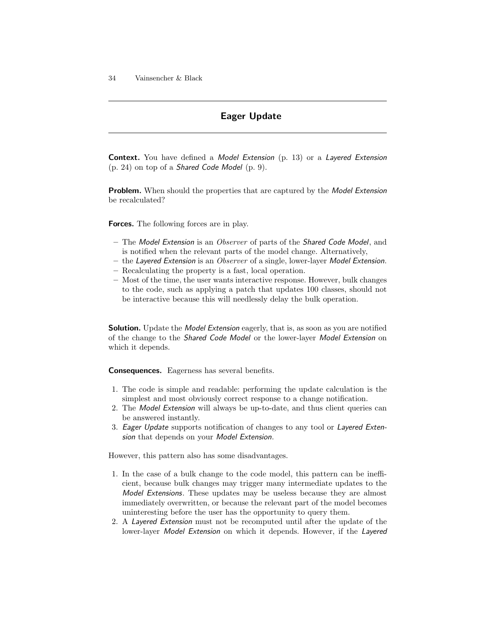## Eager Update

Context. You have defined a Model Extension (p. 13) or a Layered Extension (p. 24) on top of a Shared Code Model (p. 9).

**Problem.** When should the properties that are captured by the Model Extension be recalculated?

Forces. The following forces are in play.

- The Model Extension is an Observer of parts of the Shared Code Model, and is notified when the relevant parts of the model change. Alternatively,
- the Layered Extension is an Observer of a single, lower-layer Model Extension.
- Recalculating the property is a fast, local operation.
- Most of the time, the user wants interactive response. However, bulk changes to the code, such as applying a patch that updates 100 classes, should not be interactive because this will needlessly delay the bulk operation.

Solution. Update the Model Extension eagerly, that is, as soon as you are notified of the change to the Shared Code Model or the lower-layer Model Extension on which it depends.

Consequences. Eagerness has several benefits.

- 1. The code is simple and readable: performing the update calculation is the simplest and most obviously correct response to a change notification.
- 2. The Model Extension will always be up-to-date, and thus client queries can be answered instantly.
- 3. Eager Update supports notification of changes to any tool or Layered Extension that depends on your Model Extension.

However, this pattern also has some disadvantages.

- 1. In the case of a bulk change to the code model, this pattern can be inefficient, because bulk changes may trigger many intermediate updates to the Model Extensions. These updates may be useless because they are almost immediately overwritten, or because the relevant part of the model becomes uninteresting before the user has the opportunity to query them.
- 2. A Layered Extension must not be recomputed until after the update of the lower-layer Model Extension on which it depends. However, if the Layered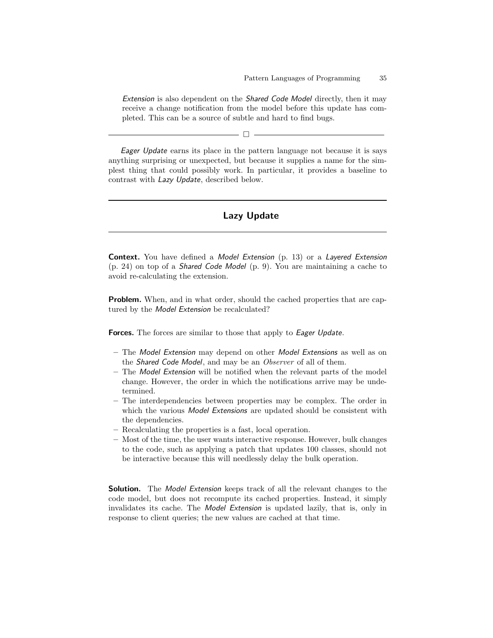Extension is also dependent on the *Shared Code Model* directly, then it may receive a change notification from the model before this update has completed. This can be a source of subtle and hard to find bugs.

 $-\Box$ 

Eager Update earns its place in the pattern language not because it is says anything surprising or unexpected, but because it supplies a name for the simplest thing that could possibly work. In particular, it provides a baseline to contrast with Lazy Update, described below.

## Lazy Update

Context. You have defined a Model Extension (p. 13) or a Layered Extension (p. 24) on top of a Shared Code Model (p. 9). You are maintaining a cache to avoid re-calculating the extension.

**Problem.** When, and in what order, should the cached properties that are captured by the Model Extension be recalculated?

Forces. The forces are similar to those that apply to Eager Update.

- The Model Extension may depend on other Model Extensions as well as on the Shared Code Model, and may be an Observer of all of them.
- The Model Extension will be notified when the relevant parts of the model change. However, the order in which the notifications arrive may be undetermined.
- The interdependencies between properties may be complex. The order in which the various *Model Extensions* are updated should be consistent with the dependencies.
- Recalculating the properties is a fast, local operation.
- Most of the time, the user wants interactive response. However, bulk changes to the code, such as applying a patch that updates 100 classes, should not be interactive because this will needlessly delay the bulk operation.

**Solution.** The *Model Extension* keeps track of all the relevant changes to the code model, but does not recompute its cached properties. Instead, it simply invalidates its cache. The Model Extension is updated lazily, that is, only in response to client queries; the new values are cached at that time.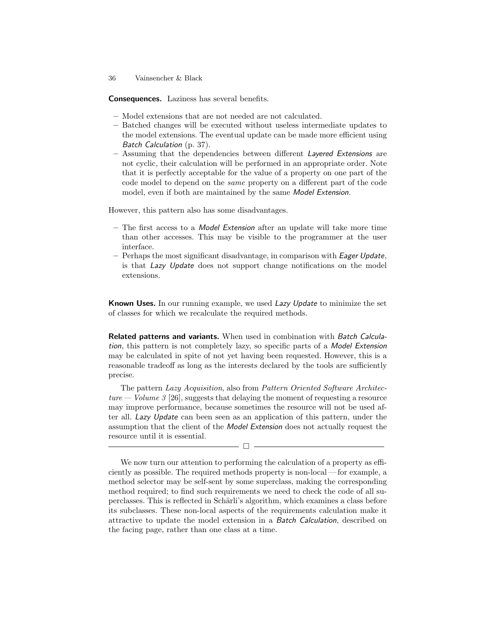Consequences. Laziness has several benefits.

- Model extensions that are not needed are not calculated.
- Batched changes will be executed without useless intermediate updates to the model extensions. The eventual update can be made more efficient using Batch Calculation (p. 37).
- Assuming that the dependencies between different Layered Extensions are not cyclic, their calculation will be performed in an appropriate order. Note that it is perfectly acceptable for the value of a property on one part of the code model to depend on the same property on a different part of the code model, even if both are maintained by the same Model Extension.

However, this pattern also has some disadvantages.

- $-$  The first access to a *Model Extension* after an update will take more time than other accesses. This may be visible to the programmer at the user interface.
- Perhaps the most significant disadvantage, in comparison with Eager Update, is that Lazy Update does not support change notifications on the model extensions.

**Known Uses.** In our running example, we used *Lazy Update* to minimize the set of classes for which we recalculate the required methods.

Related patterns and variants. When used in combination with Batch Calculation, this pattern is not completely lazy, so specific parts of a Model Extension may be calculated in spite of not yet having been requested. However, this is a reasonable tradeoff as long as the interests declared by the tools are sufficiently precise.

The pattern Lazy Acquisition, also from Pattern Oriented Software Architec $ture-Volume 3 [26]$ , suggests that delaying the moment of requesting a resource may improve performance, because sometimes the resource will not be used after all. Lazy Update can been seen as an application of this pattern, under the assumption that the client of the Model Extension does not actually request the resource until it is essential.

 $-$  0  $-$ 

We now turn our attention to performing the calculation of a property as efficiently as possible. The required methods property is non-local — for example, a method selector may be self-sent by some superclass, making the corresponding method required; to find such requirements we need to check the code of all superclasses. This is reflected in Schärli's algorithm, which examines a class before its subclasses. These non-local aspects of the requirements calculation make it attractive to update the model extension in a Batch Calculation, described on the facing page, rather than one class at a time.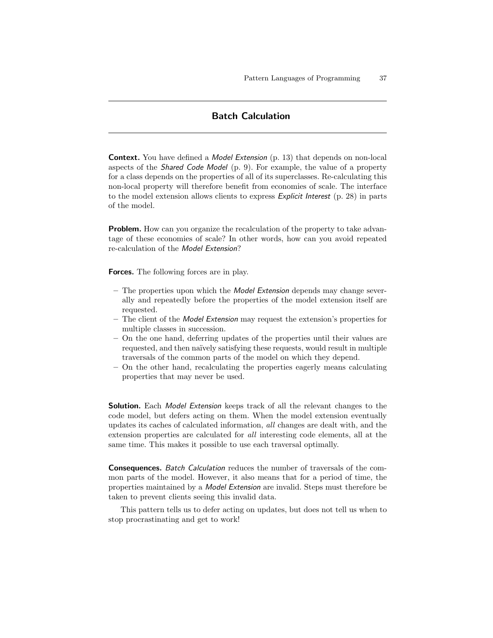## Batch Calculation

Context. You have defined a Model Extension (p. 13) that depends on non-local aspects of the Shared Code Model (p. 9). For example, the value of a property for a class depends on the properties of all of its superclasses. Re-calculating this non-local property will therefore benefit from economies of scale. The interface to the model extension allows clients to express Explicit Interest (p. 28) in parts of the model.

**Problem.** How can you organize the recalculation of the property to take advantage of these economies of scale? In other words, how can you avoid repeated re-calculation of the Model Extension?

Forces. The following forces are in play.

- The properties upon which the Model Extension depends may change severally and repeatedly before the properties of the model extension itself are requested.
- The client of the Model Extension may request the extension's properties for multiple classes in succession.
- On the one hand, deferring updates of the properties until their values are requested, and then naïvely satisfying these requests, would result in multiple traversals of the common parts of the model on which they depend.
- On the other hand, recalculating the properties eagerly means calculating properties that may never be used.

**Solution.** Each *Model Extension* keeps track of all the relevant changes to the code model, but defers acting on them. When the model extension eventually updates its caches of calculated information, all changes are dealt with, and the extension properties are calculated for all interesting code elements, all at the same time. This makes it possible to use each traversal optimally.

Consequences. Batch Calculation reduces the number of traversals of the common parts of the model. However, it also means that for a period of time, the properties maintained by a Model Extension are invalid. Steps must therefore be taken to prevent clients seeing this invalid data.

This pattern tells us to defer acting on updates, but does not tell us when to stop procrastinating and get to work!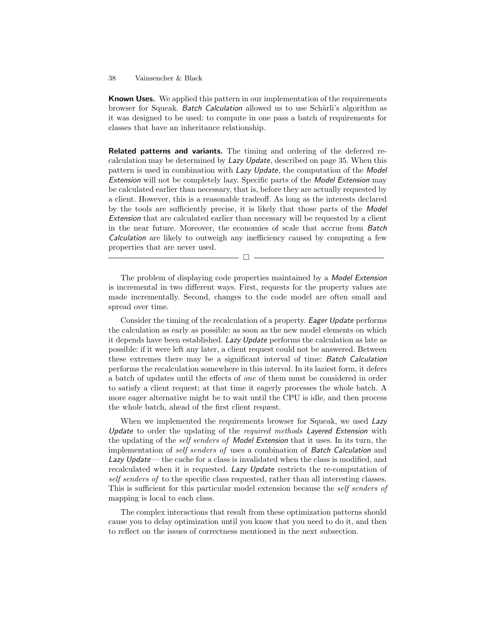**Known Uses.** We applied this pattern in our implementation of the requirements browser for Squeak. Batch Calculation allowed us to use Schärli's algorithm as it was designed to be used: to compute in one pass a batch of requirements for classes that have an inheritance relationship.

Related patterns and variants. The timing and ordering of the deferred recalculation may be determined by Lazy Update, described on page 35. When this pattern is used in combination with *Lazy Update*, the computation of the *Model* Extension will not be completely lazy. Specific parts of the Model Extension may be calculated earlier than necessary, that is, before they are actually requested by a client. However, this is a reasonable tradeoff. As long as the interests declared by the tools are sufficiently precise, it is likely that those parts of the Model Extension that are calculated earlier than necessary will be requested by a client in the near future. Moreover, the economies of scale that accrue from Batch Calculation are likely to outweigh any inefficiency caused by computing a few properties that are never used.

The problem of displaying code properties maintained by a Model Extension is incremental in two different ways. First, requests for the property values are made incrementally. Second, changes to the code model are often small and spread over time.

 $\Box$   $-$ 

Consider the timing of the recalculation of a property. Eager Update performs the calculation as early as possible: as soon as the new model elements on which it depends have been established. Lazy Update performs the calculation as late as possible: if it were left any later, a client request could not be answered. Between these extremes there may be a significant interval of time: Batch Calculation performs the recalculation somewhere in this interval. In its laziest form, it defers a batch of updates until the effects of one of them must be considered in order to satisfy a client request; at that time it eagerly processes the whole batch. A more eager alternative might be to wait until the CPU is idle, and then process the whole batch, ahead of the first client request.

When we implemented the requirements browser for Squeak, we used Lazy Update to order the updating of the *required methods* Layered Extension with the updating of the *self senders of Model Extension* that it uses. In its turn, the implementation of self senders of uses a combination of Batch Calculation and Lazy Update — the cache for a class is invalidated when the class is modified, and recalculated when it is requested. Lazy Update restricts the re-computation of self senders of to the specific class requested, rather than all interesting classes. This is sufficient for this particular model extension because the self senders of mapping is local to each class.

The complex interactions that result from these optimization patterns should cause you to delay optimization until you know that you need to do it, and then to reflect on the issues of correctness mentioned in the next subsection.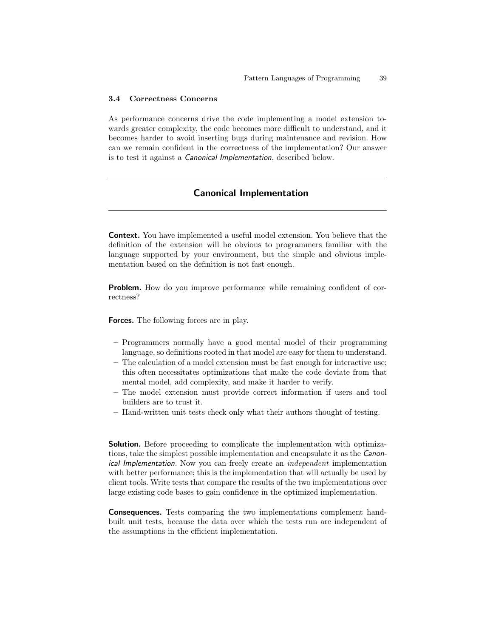### 3.4 Correctness Concerns

As performance concerns drive the code implementing a model extension towards greater complexity, the code becomes more difficult to understand, and it becomes harder to avoid inserting bugs during maintenance and revision. How can we remain confident in the correctness of the implementation? Our answer is to test it against a Canonical Implementation, described below.

## Canonical Implementation

Context. You have implemented a useful model extension. You believe that the definition of the extension will be obvious to programmers familiar with the language supported by your environment, but the simple and obvious implementation based on the definition is not fast enough.

**Problem.** How do you improve performance while remaining confident of correctness?

Forces. The following forces are in play.

- Programmers normally have a good mental model of their programming language, so definitions rooted in that model are easy for them to understand.
- The calculation of a model extension must be fast enough for interactive use; this often necessitates optimizations that make the code deviate from that mental model, add complexity, and make it harder to verify.
- The model extension must provide correct information if users and tool builders are to trust it.
- Hand-written unit tests check only what their authors thought of testing.

**Solution.** Before proceeding to complicate the implementation with optimizations, take the simplest possible implementation and encapsulate it as the Canonical Implementation. Now you can freely create an independent implementation with better performance; this is the implementation that will actually be used by client tools. Write tests that compare the results of the two implementations over large existing code bases to gain confidence in the optimized implementation.

Consequences. Tests comparing the two implementations complement handbuilt unit tests, because the data over which the tests run are independent of the assumptions in the efficient implementation.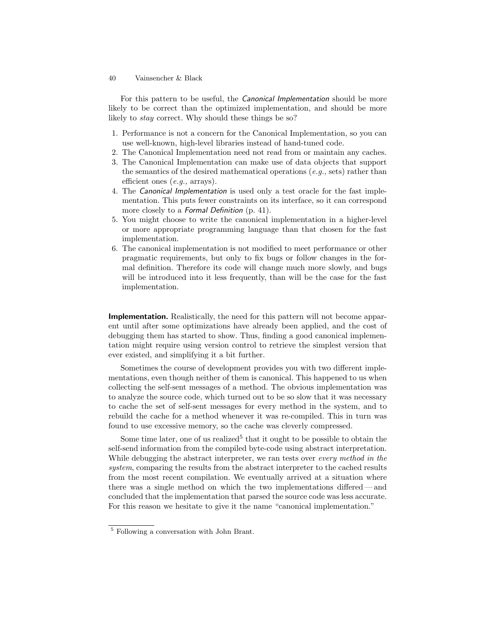For this pattern to be useful, the Canonical Implementation should be more likely to be correct than the optimized implementation, and should be more likely to stay correct. Why should these things be so?

- 1. Performance is not a concern for the Canonical Implementation, so you can use well-known, high-level libraries instead of hand-tuned code.
- 2. The Canonical Implementation need not read from or maintain any caches.
- 3. The Canonical Implementation can make use of data objects that support the semantics of the desired mathematical operations (e.g., sets) rather than efficient ones (e.g., arrays).
- 4. The Canonical Implementation is used only a test oracle for the fast implementation. This puts fewer constraints on its interface, so it can correspond more closely to a *Formal Definition* (p. 41).
- 5. You might choose to write the canonical implementation in a higher-level or more appropriate programming language than that chosen for the fast implementation.
- 6. The canonical implementation is not modified to meet performance or other pragmatic requirements, but only to fix bugs or follow changes in the formal definition. Therefore its code will change much more slowly, and bugs will be introduced into it less frequently, than will be the case for the fast implementation.

Implementation. Realistically, the need for this pattern will not become apparent until after some optimizations have already been applied, and the cost of debugging them has started to show. Thus, finding a good canonical implementation might require using version control to retrieve the simplest version that ever existed, and simplifying it a bit further.

Sometimes the course of development provides you with two different implementations, even though neither of them is canonical. This happened to us when collecting the self-sent messages of a method. The obvious implementation was to analyze the source code, which turned out to be so slow that it was necessary to cache the set of self-sent messages for every method in the system, and to rebuild the cache for a method whenever it was re-compiled. This in turn was found to use excessive memory, so the cache was cleverly compressed.

Some time later, one of us realized<sup>5</sup> that it ought to be possible to obtain the self-send information from the compiled byte-code using abstract interpretation. While debugging the abstract interpreter, we ran tests over every method in the system, comparing the results from the abstract interpreter to the cached results from the most recent compilation. We eventually arrived at a situation where there was a single method on which the two implementations differed— and concluded that the implementation that parsed the source code was less accurate. For this reason we hesitate to give it the name "canonical implementation."

 $^5$  Following a conversation with John Brant.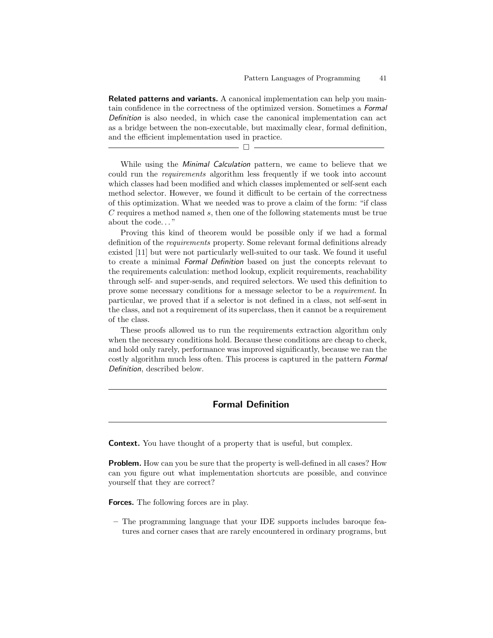Related patterns and variants. A canonical implementation can help you maintain confidence in the correctness of the optimized version. Sometimes a Formal Definition is also needed, in which case the canonical implementation can act as a bridge between the non-executable, but maximally clear, formal definition, and the efficient implementation used in practice.

 $- \Box$ 

While using the Minimal Calculation pattern, we came to believe that we could run the requirements algorithm less frequently if we took into account which classes had been modified and which classes implemented or self-sent each method selector. However, we found it difficult to be certain of the correctness of this optimization. What we needed was to prove a claim of the form: "if class C requires a method named s, then one of the following statements must be true about the code. . . "

Proving this kind of theorem would be possible only if we had a formal definition of the requirements property. Some relevant formal definitions already existed [11] but were not particularly well-suited to our task. We found it useful to create a minimal Formal Definition based on just the concepts relevant to the requirements calculation: method lookup, explicit requirements, reachability through self- and super-sends, and required selectors. We used this definition to prove some necessary conditions for a message selector to be a requirement. In particular, we proved that if a selector is not defined in a class, not self-sent in the class, and not a requirement of its superclass, then it cannot be a requirement of the class.

These proofs allowed us to run the requirements extraction algorithm only when the necessary conditions hold. Because these conditions are cheap to check, and hold only rarely, performance was improved significantly, because we ran the costly algorithm much less often. This process is captured in the pattern Formal Definition, described below.

## Formal Definition

Context. You have thought of a property that is useful, but complex.

**Problem.** How can you be sure that the property is well-defined in all cases? How can you figure out what implementation shortcuts are possible, and convince yourself that they are correct?

Forces. The following forces are in play.

– The programming language that your IDE supports includes baroque features and corner cases that are rarely encountered in ordinary programs, but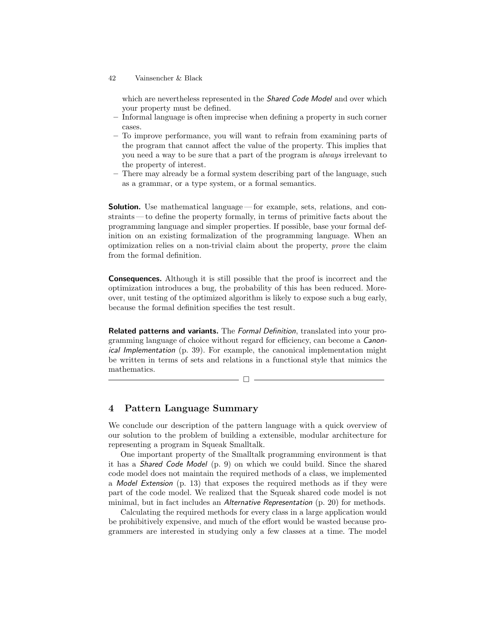which are nevertheless represented in the *Shared Code Model* and over which your property must be defined.

- Informal language is often imprecise when defining a property in such corner cases.
- To improve performance, you will want to refrain from examining parts of the program that cannot affect the value of the property. This implies that you need a way to be sure that a part of the program is always irrelevant to the property of interest.
- There may already be a formal system describing part of the language, such as a grammar, or a type system, or a formal semantics.

**Solution.** Use mathematical language — for example, sets, relations, and constraints — to define the property formally, in terms of primitive facts about the programming language and simpler properties. If possible, base your formal definition on an existing formalization of the programming language. When an optimization relies on a non-trivial claim about the property, prove the claim from the formal definition.

Consequences. Although it is still possible that the proof is incorrect and the optimization introduces a bug, the probability of this has been reduced. Moreover, unit testing of the optimized algorithm is likely to expose such a bug early, because the formal definition specifies the test result.

Related patterns and variants. The Formal Definition, translated into your programming language of choice without regard for efficiency, can become a Canonical Implementation (p. 39). For example, the canonical implementation might be written in terms of sets and relations in a functional style that mimics the mathematics.

 $\Box$   $-$ 

## 4 Pattern Language Summary

We conclude our description of the pattern language with a quick overview of our solution to the problem of building a extensible, modular architecture for representing a program in Squeak Smalltalk.

One important property of the Smalltalk programming environment is that it has a *Shared Code Model* (p. 9) on which we could build. Since the shared code model does not maintain the required methods of a class, we implemented a Model Extension (p. 13) that exposes the required methods as if they were part of the code model. We realized that the Squeak shared code model is not minimal, but in fact includes an Alternative Representation (p. 20) for methods.

Calculating the required methods for every class in a large application would be prohibitively expensive, and much of the effort would be wasted because programmers are interested in studying only a few classes at a time. The model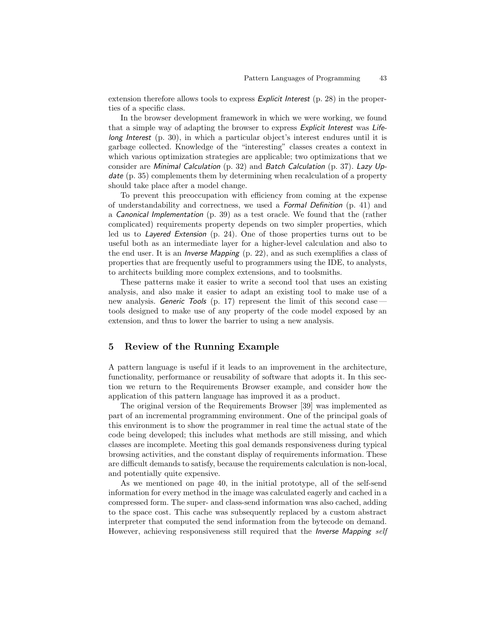extension therefore allows tools to express Explicit Interest (p. 28) in the properties of a specific class.

In the browser development framework in which we were working, we found that a simple way of adapting the browser to express Explicit Interest was Lifelong Interest (p. 30), in which a particular object's interest endures until it is garbage collected. Knowledge of the "interesting" classes creates a context in which various optimization strategies are applicable; two optimizations that we consider are Minimal Calculation (p. 32) and Batch Calculation (p. 37). Lazy Update (p. 35) complements them by determining when recalculation of a property should take place after a model change.

To prevent this preoccupation with efficiency from coming at the expense of understandability and correctness, we used a Formal Definition (p. 41) and a Canonical Implementation (p. 39) as a test oracle. We found that the (rather complicated) requirements property depends on two simpler properties, which led us to Layered Extension (p. 24). One of those properties turns out to be useful both as an intermediate layer for a higher-level calculation and also to the end user. It is an *Inverse Mapping*  $(p, 22)$ , and as such exemplifies a class of properties that are frequently useful to programmers using the IDE, to analysts, to architects building more complex extensions, and to toolsmiths.

These patterns make it easier to write a second tool that uses an existing analysis, and also make it easier to adapt an existing tool to make use of a new analysis. Generic Tools (p. 17) represent the limit of this second case tools designed to make use of any property of the code model exposed by an extension, and thus to lower the barrier to using a new analysis.

## 5 Review of the Running Example

A pattern language is useful if it leads to an improvement in the architecture, functionality, performance or reusability of software that adopts it. In this section we return to the Requirements Browser example, and consider how the application of this pattern language has improved it as a product.

The original version of the Requirements Browser [39] was implemented as part of an incremental programming environment. One of the principal goals of this environment is to show the programmer in real time the actual state of the code being developed; this includes what methods are still missing, and which classes are incomplete. Meeting this goal demands responsiveness during typical browsing activities, and the constant display of requirements information. These are difficult demands to satisfy, because the requirements calculation is non-local, and potentially quite expensive.

As we mentioned on page 40, in the initial prototype, all of the self-send information for every method in the image was calculated eagerly and cached in a compressed form. The super- and class-send information was also cached, adding to the space cost. This cache was subsequently replaced by a custom abstract interpreter that computed the send information from the bytecode on demand. However, achieving responsiveness still required that the Inverse Mapping self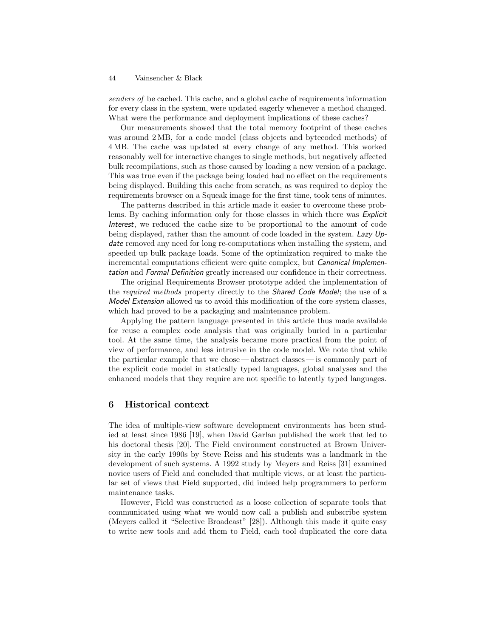senders of be cached. This cache, and a global cache of requirements information for every class in the system, were updated eagerly whenever a method changed. What were the performance and deployment implications of these caches?

Our measurements showed that the total memory footprint of these caches was around 2 MB, for a code model (class objects and bytecoded methods) of 4 MB. The cache was updated at every change of any method. This worked reasonably well for interactive changes to single methods, but negatively affected bulk recompilations, such as those caused by loading a new version of a package. This was true even if the package being loaded had no effect on the requirements being displayed. Building this cache from scratch, as was required to deploy the requirements browser on a Squeak image for the first time, took tens of minutes.

The patterns described in this article made it easier to overcome these problems. By caching information only for those classes in which there was Explicit Interest, we reduced the cache size to be proportional to the amount of code being displayed, rather than the amount of code loaded in the system. Lazy Update removed any need for long re-computations when installing the system, and speeded up bulk package loads. Some of the optimization required to make the incremental computations efficient were quite complex, but *Canonical Implemen*tation and Formal Definition greatly increased our confidence in their correctness.

The original Requirements Browser prototype added the implementation of the required methods property directly to the Shared Code Model; the use of a Model Extension allowed us to avoid this modification of the core system classes, which had proved to be a packaging and maintenance problem.

Applying the pattern language presented in this article thus made available for reuse a complex code analysis that was originally buried in a particular tool. At the same time, the analysis became more practical from the point of view of performance, and less intrusive in the code model. We note that while the particular example that we chose — abstract classes — is commonly part of the explicit code model in statically typed languages, global analyses and the enhanced models that they require are not specific to latently typed languages.

## 6 Historical context

The idea of multiple-view software development environments has been studied at least since 1986 [19], when David Garlan published the work that led to his doctoral thesis [20]. The Field environment constructed at Brown University in the early 1990s by Steve Reiss and his students was a landmark in the development of such systems. A 1992 study by Meyers and Reiss [31] examined novice users of Field and concluded that multiple views, or at least the particular set of views that Field supported, did indeed help programmers to perform maintenance tasks.

However, Field was constructed as a loose collection of separate tools that communicated using what we would now call a publish and subscribe system (Meyers called it "Selective Broadcast" [28]). Although this made it quite easy to write new tools and add them to Field, each tool duplicated the core data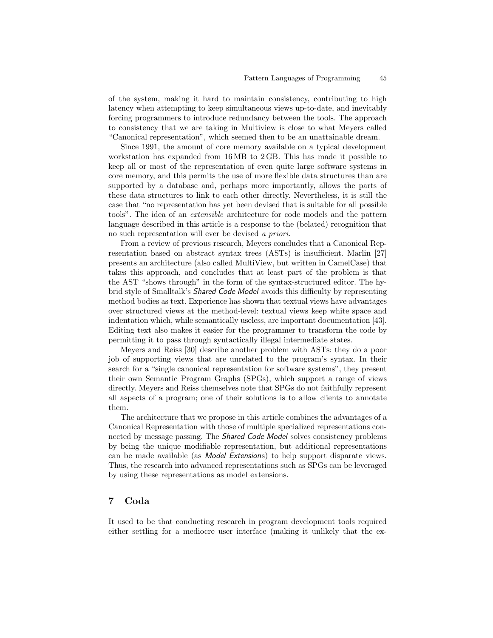of the system, making it hard to maintain consistency, contributing to high latency when attempting to keep simultaneous views up-to-date, and inevitably forcing programmers to introduce redundancy between the tools. The approach to consistency that we are taking in Multiview is close to what Meyers called "Canonical representation", which seemed then to be an unattainable dream.

Since 1991, the amount of core memory available on a typical development workstation has expanded from 16 MB to 2 GB. This has made it possible to keep all or most of the representation of even quite large software systems in core memory, and this permits the use of more flexible data structures than are supported by a database and, perhaps more importantly, allows the parts of these data structures to link to each other directly. Nevertheless, it is still the case that "no representation has yet been devised that is suitable for all possible tools". The idea of an extensible architecture for code models and the pattern language described in this article is a response to the (belated) recognition that no such representation will ever be devised a priori.

From a review of previous research, Meyers concludes that a Canonical Representation based on abstract syntax trees (ASTs) is insufficient. Marlin [27] presents an architecture (also called MultiView, but written in CamelCase) that takes this approach, and concludes that at least part of the problem is that the AST "shows through" in the form of the syntax-structured editor. The hybrid style of Smalltalk's Shared Code Model avoids this difficulty by representing method bodies as text. Experience has shown that textual views have advantages over structured views at the method-level: textual views keep white space and indentation which, while semantically useless, are important documentation [43]. Editing text also makes it easier for the programmer to transform the code by permitting it to pass through syntactically illegal intermediate states.

Meyers and Reiss [30] describe another problem with ASTs: they do a poor job of supporting views that are unrelated to the program's syntax. In their search for a "single canonical representation for software systems", they present their own Semantic Program Graphs (SPGs), which support a range of views directly. Meyers and Reiss themselves note that SPGs do not faithfully represent all aspects of a program; one of their solutions is to allow clients to annotate them.

The architecture that we propose in this article combines the advantages of a Canonical Representation with those of multiple specialized representations connected by message passing. The Shared Code Model solves consistency problems by being the unique modifiable representation, but additional representations can be made available (as Model Extensions) to help support disparate views. Thus, the research into advanced representations such as SPGs can be leveraged by using these representations as model extensions.

## 7 Coda

It used to be that conducting research in program development tools required either settling for a mediocre user interface (making it unlikely that the ex-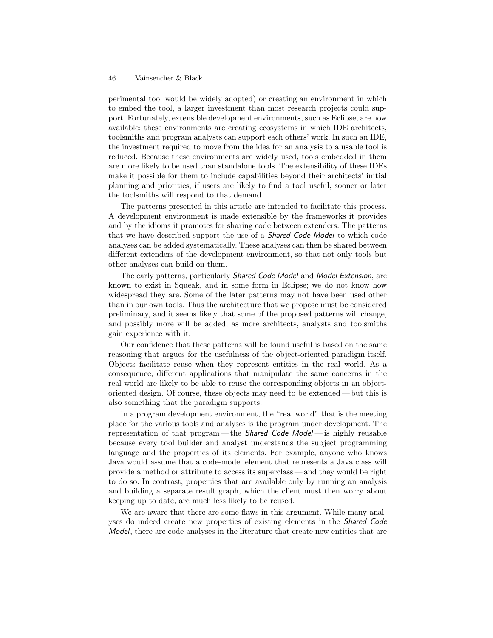perimental tool would be widely adopted) or creating an environment in which to embed the tool, a larger investment than most research projects could support. Fortunately, extensible development environments, such as Eclipse, are now available: these environments are creating ecosystems in which IDE architects, toolsmiths and program analysts can support each others' work. In such an IDE, the investment required to move from the idea for an analysis to a usable tool is reduced. Because these environments are widely used, tools embedded in them are more likely to be used than standalone tools. The extensibility of these IDEs make it possible for them to include capabilities beyond their architects' initial planning and priorities; if users are likely to find a tool useful, sooner or later the toolsmiths will respond to that demand.

The patterns presented in this article are intended to facilitate this process. A development environment is made extensible by the frameworks it provides and by the idioms it promotes for sharing code between extenders. The patterns that we have described support the use of a Shared Code Model to which code analyses can be added systematically. These analyses can then be shared between different extenders of the development environment, so that not only tools but other analyses can build on them.

The early patterns, particularly Shared Code Model and Model Extension, are known to exist in Squeak, and in some form in Eclipse; we do not know how widespread they are. Some of the later patterns may not have been used other than in our own tools. Thus the architecture that we propose must be considered preliminary, and it seems likely that some of the proposed patterns will change, and possibly more will be added, as more architects, analysts and toolsmiths gain experience with it.

Our confidence that these patterns will be found useful is based on the same reasoning that argues for the usefulness of the object-oriented paradigm itself. Objects facilitate reuse when they represent entities in the real world. As a consequence, different applications that manipulate the same concerns in the real world are likely to be able to reuse the corresponding objects in an objectoriented design. Of course, these objects may need to be extended— but this is also something that the paradigm supports.

In a program development environment, the "real world" that is the meeting place for the various tools and analyses is the program under development. The representation of that program— the *Shared Code Model* — is highly reusable because every tool builder and analyst understands the subject programming language and the properties of its elements. For example, anyone who knows Java would assume that a code-model element that represents a Java class will provide a method or attribute to access its superclass — and they would be right to do so. In contrast, properties that are available only by running an analysis and building a separate result graph, which the client must then worry about keeping up to date, are much less likely to be reused.

We are aware that there are some flaws in this argument. While many analyses do indeed create new properties of existing elements in the Shared Code Model, there are code analyses in the literature that create new entities that are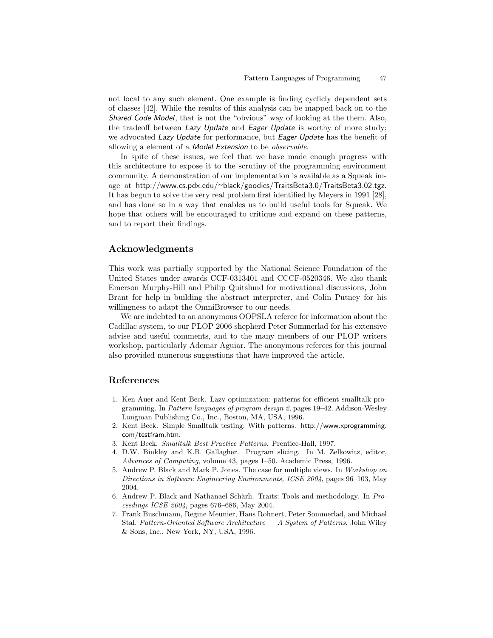not local to any such element. One example is finding cyclicly dependent sets of classes [42]. While the results of this analysis can be mapped back on to the Shared Code Model, that is not the "obvious" way of looking at the them. Also, the tradeoff between *Lazy Update* and *Eager Update* is worthy of more study; we advocated Lazy Update for performance, but Eager Update has the benefit of allowing a element of a Model Extension to be observable.

In spite of these issues, we feel that we have made enough progress with this architecture to expose it to the scrutiny of the programming environment community. A demonstration of our implementation is available as a Squeak image at http://www.cs.pdx.edu/∼black/goodies/TraitsBeta3.0/TraitsBeta3.02.tgz. It has begun to solve the very real problem first identified by Meyers in 1991 [28], and has done so in a way that enables us to build useful tools for Squeak. We hope that others will be encouraged to critique and expand on these patterns, and to report their findings.

### Acknowledgments

This work was partially supported by the National Science Foundation of the United States under awards CCF-0313401 and CCCF-0520346. We also thank Emerson Murphy-Hill and Philip Quitslund for motivational discussions, John Brant for help in building the abstract interpreter, and Colin Putney for his willingness to adapt the OmniBrowser to our needs.

We are indebted to an anonymous OOPSLA referee for information about the Cadillac system, to our PLOP 2006 shepherd Peter Sommerlad for his extensive advise and useful comments, and to the many members of our PLOP writers workshop, particularly Ademar Aguiar. The anonymous referees for this journal also provided numerous suggestions that have improved the article.

### References

- 1. Ken Auer and Kent Beck. Lazy optimization: patterns for efficient smalltalk programming. In Pattern languages of program design 2, pages 19–42. Addison-Wesley Longman Publishing Co., Inc., Boston, MA, USA, 1996.
- 2. Kent Beck. Simple Smalltalk testing: With patterns. http://www.xprogramming. com/testfram.htm.
- 3. Kent Beck. Smalltalk Best Practice Patterns. Prentice-Hall, 1997.
- 4. D.W. Binkley and K.B. Gallagher. Program slicing. In M. Zelkowitz, editor, Advances of Computing, volume 43, pages 1–50. Academic Press, 1996.
- 5. Andrew P. Black and Mark P. Jones. The case for multiple views. In Workshop on Directions in Software Engineering Environments, ICSE 2004, pages 96–103, May 2004.
- 6. Andrew P. Black and Nathanael Schärli. Traits: Tools and methodology. In Proceedings ICSE 2004, pages 676–686, May 2004.
- 7. Frank Buschmann, Regine Meunier, Hans Rohnert, Peter Sommerlad, and Michael Stal. Pattern-Oriented Software Architecture  $-A$  System of Patterns. John Wiley & Sons, Inc., New York, NY, USA, 1996.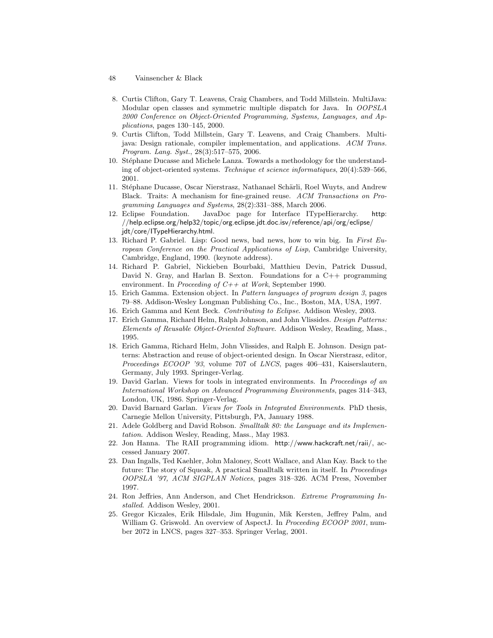- 48 Vainsencher & Black
- 8. Curtis Clifton, Gary T. Leavens, Craig Chambers, and Todd Millstein. MultiJava: Modular open classes and symmetric multiple dispatch for Java. In OOPSLA 2000 Conference on Object-Oriented Programming, Systems, Languages, and Applications, pages 130–145, 2000.
- 9. Curtis Clifton, Todd Millstein, Gary T. Leavens, and Craig Chambers. Multijava: Design rationale, compiler implementation, and applications. ACM Trans. Program. Lang. Syst., 28(3):517–575, 2006.
- 10. St´ephane Ducasse and Michele Lanza. Towards a methodology for the understanding of object-oriented systems. Technique et science informatiques, 20(4):539–566, 2001.
- 11. Stéphane Ducasse, Oscar Nierstrasz, Nathanael Schärli, Roel Wuyts, and Andrew Black. Traits: A mechanism for fine-grained reuse. ACM Transactions on Programming Languages and Systems, 28(2):331–388, March 2006.
- 12. Eclipse Foundation. JavaDoc page for Interface ITypeHierarchy. http: //help.eclipse.org/help32/topic/org.eclipse.jdt.doc.isv/reference/api/org/eclipse/ jdt/core/ITypeHierarchy.html.
- 13. Richard P. Gabriel. Lisp: Good news, bad news, how to win big. In First European Conference on the Practical Applications of Lisp, Cambridge University, Cambridge, England, 1990. (keynote address).
- 14. Richard P. Gabriel, Nickieben Bourbaki, Matthieu Devin, Patrick Dussud, David N. Gray, and Harlan B. Sexton. Foundations for a C++ programming environment. In Proceeding of  $C++$  at Work, September 1990.
- 15. Erich Gamma. Extension object. In Pattern languages of program design 3, pages 79–88. Addison-Wesley Longman Publishing Co., Inc., Boston, MA, USA, 1997.
- 16. Erich Gamma and Kent Beck. Contributing to Eclipse. Addison Wesley, 2003.
- 17. Erich Gamma, Richard Helm, Ralph Johnson, and John Vlissides. Design Patterns: Elements of Reusable Object-Oriented Software. Addison Wesley, Reading, Mass., 1995.
- 18. Erich Gamma, Richard Helm, John Vlissides, and Ralph E. Johnson. Design patterns: Abstraction and reuse of object-oriented design. In Oscar Nierstrasz, editor, Proceedings ECOOP '93, volume 707 of LNCS, pages 406–431, Kaiserslautern, Germany, July 1993. Springer-Verlag.
- 19. David Garlan. Views for tools in integrated environments. In Proceedings of an International Workshop on Advanced Programming Environments, pages 314–343, London, UK, 1986. Springer-Verlag.
- 20. David Barnard Garlan. Views for Tools in Integrated Environments. PhD thesis, Carnegie Mellon University, Pittsburgh, PA, January 1988.
- 21. Adele Goldberg and David Robson. Smalltalk 80: the Language and its Implementation. Addison Wesley, Reading, Mass., May 1983.
- 22. Jon Hanna. The RAII programming idiom. http://www.hackcraft.net/raii/, accessed January 2007.
- 23. Dan Ingalls, Ted Kaehler, John Maloney, Scott Wallace, and Alan Kay. Back to the future: The story of Squeak, A practical Smalltalk written in itself. In Proceedings OOPSLA '97, ACM SIGPLAN Notices, pages 318–326. ACM Press, November 1997.
- 24. Ron Jeffries, Ann Anderson, and Chet Hendrickson. Extreme Programming Installed. Addison Wesley, 2001.
- 25. Gregor Kiczales, Erik Hilsdale, Jim Hugunin, Mik Kersten, Jeffrey Palm, and William G. Griswold. An overview of AspectJ. In Proceeding ECOOP 2001, number 2072 in LNCS, pages 327–353. Springer Verlag, 2001.